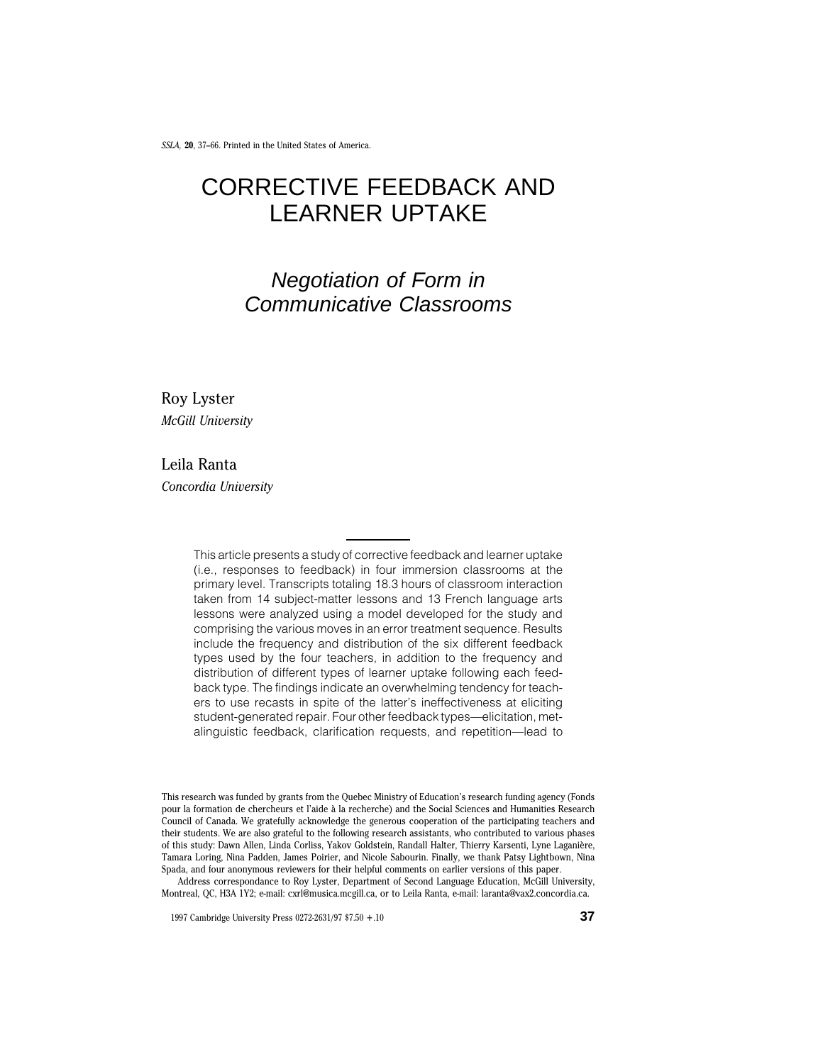*SSLA,* **20**, 37–66. Printed in the United States of America.

# CORRECTIVE FEEDBACK AND LEARNER UPTAKE

# Negotiation of Form in Communicative Classrooms

Roy Lyster *McGill University*

Leila Ranta *Concordia University*

> This article presents a study of corrective feedback and learner uptake (i.e., responses to feedback) in four immersion classrooms at the primary level. Transcripts totaling 18.3 hours of classroom interaction taken from 14 subject-matter lessons and 13 French language arts lessons were analyzed using a model developed for the study and comprising the various moves in an error treatment sequence. Results include the frequency and distribution of the six different feedback types used by the four teachers, in addition to the frequency and distribution of different types of learner uptake following each feedback type. The findings indicate an overwhelming tendency for teachers to use recasts in spite of the latter's ineffectiveness at eliciting student-generated repair. Four other feedback types—elicitation, metalinguistic feedback, clarification requests, and repetition—lead to

Address correspondance to Roy Lyster, Department of Second Language Education, McGill University, Montreal, QC, H3A 1Y2; e-mail: cxrl@musica.mcgill.ca, or to Leila Ranta, e-mail: laranta@vax2.concordia.ca.

1997 Cambridge University Press 0272-2631/97 \$7.50 <sup>+</sup> .10 **37**

This research was funded by grants from the Quebec Ministry of Education's research funding agency (Fonds pour la formation de chercheurs et l'aide a` la recherche) and the Social Sciences and Humanities Research Council of Canada. We gratefully acknowledge the generous cooperation of the participating teachers and their students. We are also grateful to the following research assistants, who contributed to various phases of this study: Dawn Allen, Linda Corliss, Yakov Goldstein, Randall Halter, Thierry Karsenti, Lyne Laganière, Tamara Loring, Nina Padden, James Poirier, and Nicole Sabourin. Finally, we thank Patsy Lightbown, Nina Spada, and four anonymous reviewers for their helpful comments on earlier versions of this paper.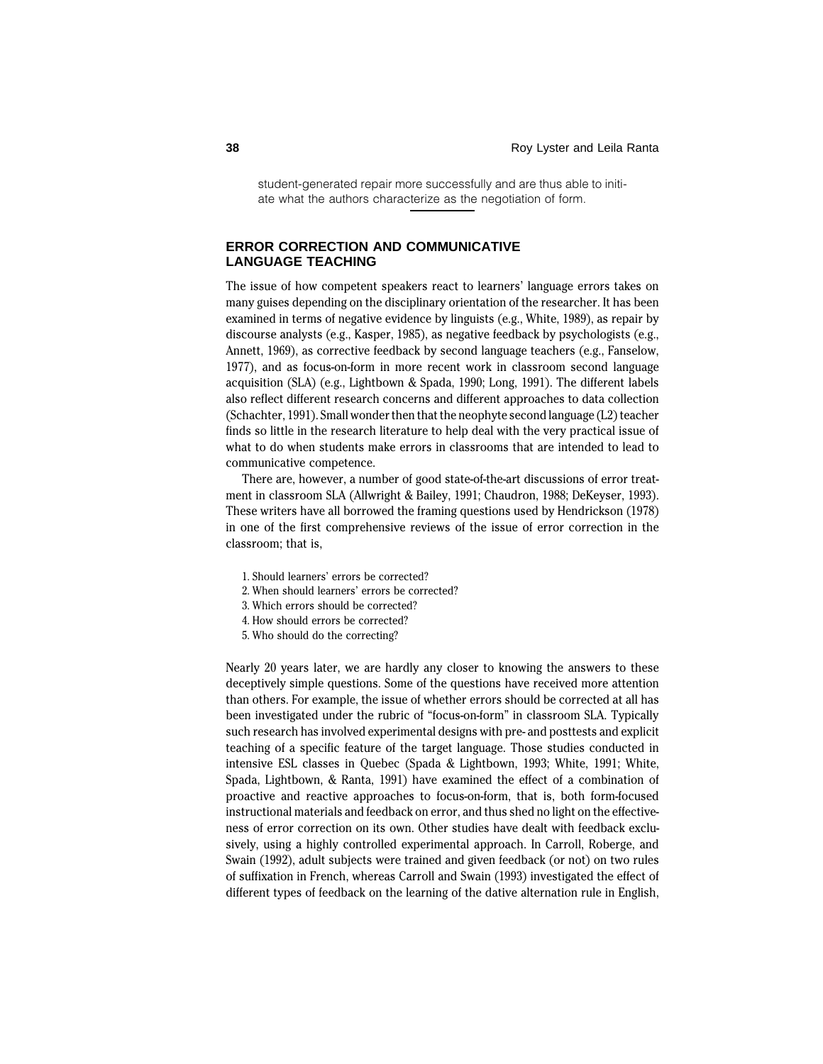student-generated repair more successfully and are thus able to initiate what the authors characterize as the negotiation of form.

# **ERROR CORRECTION AND COMMUNICATIVE LANGUAGE TEACHING**

The issue of how competent speakers react to learners' language errors takes on many guises depending on the disciplinary orientation of the researcher. It has been examined in terms of negative evidence by linguists (e.g., White, 1989), as repair by discourse analysts (e.g., Kasper, 1985), as negative feedback by psychologists (e.g., Annett, 1969), as corrective feedback by second language teachers (e.g., Fanselow, 1977), and as focus-on-form in more recent work in classroom second language acquisition (SLA) (e.g., Lightbown & Spada, 1990; Long, 1991). The different labels also reflect different research concerns and different approaches to data collection (Schachter, 1991). Small wonder then that the neophyte second language (L2) teacher finds so little in the research literature to help deal with the very practical issue of what to do when students make errors in classrooms that are intended to lead to communicative competence.

There are, however, a number of good state-of-the-art discussions of error treatment in classroom SLA (Allwright & Bailey, 1991; Chaudron, 1988; DeKeyser, 1993). These writers have all borrowed the framing questions used by Hendrickson (1978) in one of the first comprehensive reviews of the issue of error correction in the classroom; that is,

- 1. Should learners' errors be corrected?
- 2. When should learners' errors be corrected?
- 3. Which errors should be corrected?
- 4. How should errors be corrected?
- 5. Who should do the correcting?

Nearly 20 years later, we are hardly any closer to knowing the answers to these deceptively simple questions. Some of the questions have received more attention than others. For example, the issue of whether errors should be corrected at all has been investigated under the rubric of "focus-on-form" in classroom SLA. Typically such research has involved experimental designs with pre- and posttests and explicit teaching of a specific feature of the target language. Those studies conducted in intensive ESL classes in Quebec (Spada & Lightbown, 1993; White, 1991; White, Spada, Lightbown, & Ranta, 1991) have examined the effect of a combination of proactive and reactive approaches to focus-on-form, that is, both form-focused instructional materials and feedback on error, and thus shed no light on the effectiveness of error correction on its own. Other studies have dealt with feedback exclusively, using a highly controlled experimental approach. In Carroll, Roberge, and Swain (1992), adult subjects were trained and given feedback (or not) on two rules of suffixation in French, whereas Carroll and Swain (1993) investigated the effect of different types of feedback on the learning of the dative alternation rule in English,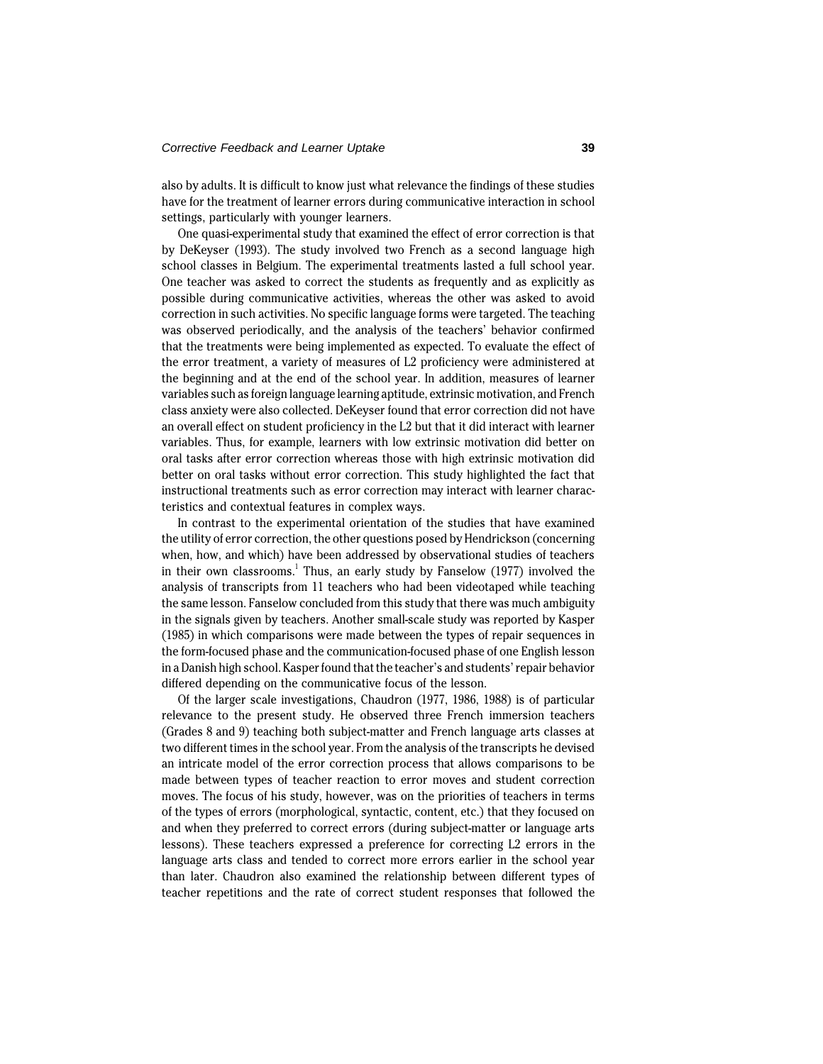also by adults. It is difficult to know just what relevance the findings of these studies have for the treatment of learner errors during communicative interaction in school settings, particularly with younger learners.

One quasi-experimental study that examined the effect of error correction is that by DeKeyser (1993). The study involved two French as a second language high school classes in Belgium. The experimental treatments lasted a full school year. One teacher was asked to correct the students as frequently and as explicitly as possible during communicative activities, whereas the other was asked to avoid correction in such activities. No specific language forms were targeted. The teaching was observed periodically, and the analysis of the teachers' behavior confirmed that the treatments were being implemented as expected. To evaluate the effect of the error treatment, a variety of measures of L2 proficiency were administered at the beginning and at the end of the school year. In addition, measures of learner variables such as foreign language learning aptitude, extrinsic motivation, and French class anxiety were also collected. DeKeyser found that error correction did not have an overall effect on student proficiency in the L2 but that it did interact with learner variables. Thus, for example, learners with low extrinsic motivation did better on oral tasks after error correction whereas those with high extrinsic motivation did better on oral tasks without error correction. This study highlighted the fact that instructional treatments such as error correction may interact with learner characteristics and contextual features in complex ways.

In contrast to the experimental orientation of the studies that have examined the utility of error correction, the other questions posed by Hendrickson (concerning when, how, and which) have been addressed by observational studies of teachers in their own classrooms.<sup>1</sup> Thus, an early study by Fanselow (1977) involved the analysis of transcripts from 11 teachers who had been videotaped while teaching the same lesson. Fanselow concluded from this study that there was much ambiguity in the signals given by teachers. Another small-scale study was reported by Kasper (1985) in which comparisons were made between the types of repair sequences in the form-focused phase and the communication-focused phase of one English lesson in a Danish high school. Kasper found that the teacher's and students' repair behavior differed depending on the communicative focus of the lesson.

Of the larger scale investigations, Chaudron (1977, 1986, 1988) is of particular relevance to the present study. He observed three French immersion teachers (Grades 8 and 9) teaching both subject-matter and French language arts classes at two different times in the school year. From the analysis of the transcripts he devised an intricate model of the error correction process that allows comparisons to be made between types of teacher reaction to error moves and student correction moves. The focus of his study, however, was on the priorities of teachers in terms of the types of errors (morphological, syntactic, content, etc.) that they focused on and when they preferred to correct errors (during subject-matter or language arts lessons). These teachers expressed a preference for correcting L2 errors in the language arts class and tended to correct more errors earlier in the school year than later. Chaudron also examined the relationship between different types of teacher repetitions and the rate of correct student responses that followed the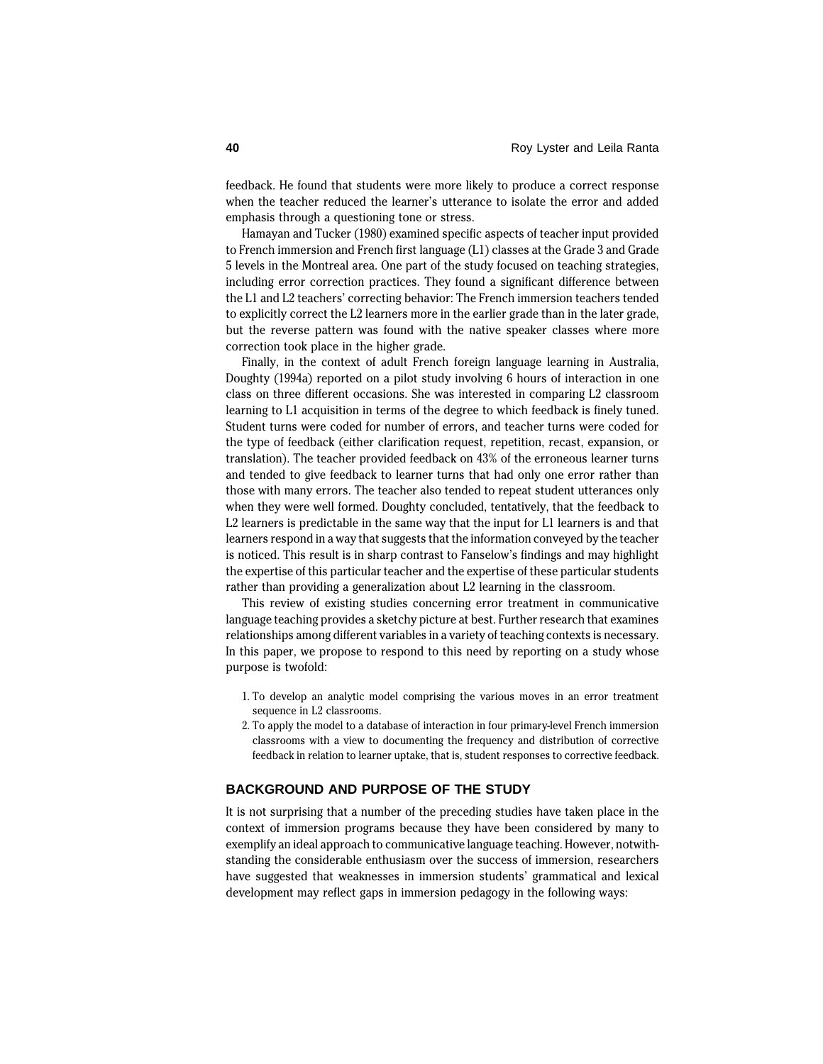feedback. He found that students were more likely to produce a correct response when the teacher reduced the learner's utterance to isolate the error and added emphasis through a questioning tone or stress.

Hamayan and Tucker (1980) examined specific aspects of teacher input provided to French immersion and French first language (L1) classes at the Grade 3 and Grade 5 levels in the Montreal area. One part of the study focused on teaching strategies, including error correction practices. They found a significant difference between the L1 and L2 teachers' correcting behavior: The French immersion teachers tended to explicitly correct the L2 learners more in the earlier grade than in the later grade, but the reverse pattern was found with the native speaker classes where more correction took place in the higher grade.

Finally, in the context of adult French foreign language learning in Australia, Doughty (1994a) reported on a pilot study involving 6 hours of interaction in one class on three different occasions. She was interested in comparing L2 classroom learning to L1 acquisition in terms of the degree to which feedback is finely tuned. Student turns were coded for number of errors, and teacher turns were coded for the type of feedback (either clarification request, repetition, recast, expansion, or translation). The teacher provided feedback on 43% of the erroneous learner turns and tended to give feedback to learner turns that had only one error rather than those with many errors. The teacher also tended to repeat student utterances only when they were well formed. Doughty concluded, tentatively, that the feedback to L2 learners is predictable in the same way that the input for L1 learners is and that learners respond in a way that suggests that the information conveyed by the teacher is noticed. This result is in sharp contrast to Fanselow's findings and may highlight the expertise of this particular teacher and the expertise of these particular students rather than providing a generalization about L2 learning in the classroom.

This review of existing studies concerning error treatment in communicative language teaching provides a sketchy picture at best. Further research that examines relationships among different variables in a variety of teaching contexts is necessary. In this paper, we propose to respond to this need by reporting on a study whose purpose is twofold:

- 1. To develop an analytic model comprising the various moves in an error treatment sequence in L2 classrooms.
- 2. To apply the model to a database of interaction in four primary-level French immersion classrooms with a view to documenting the frequency and distribution of corrective feedback in relation to learner uptake, that is, student responses to corrective feedback.

# **BACKGROUND AND PURPOSE OF THE STUDY**

It is not surprising that a number of the preceding studies have taken place in the context of immersion programs because they have been considered by many to exemplify an ideal approach to communicative language teaching. However, notwithstanding the considerable enthusiasm over the success of immersion, researchers have suggested that weaknesses in immersion students' grammatical and lexical development may reflect gaps in immersion pedagogy in the following ways: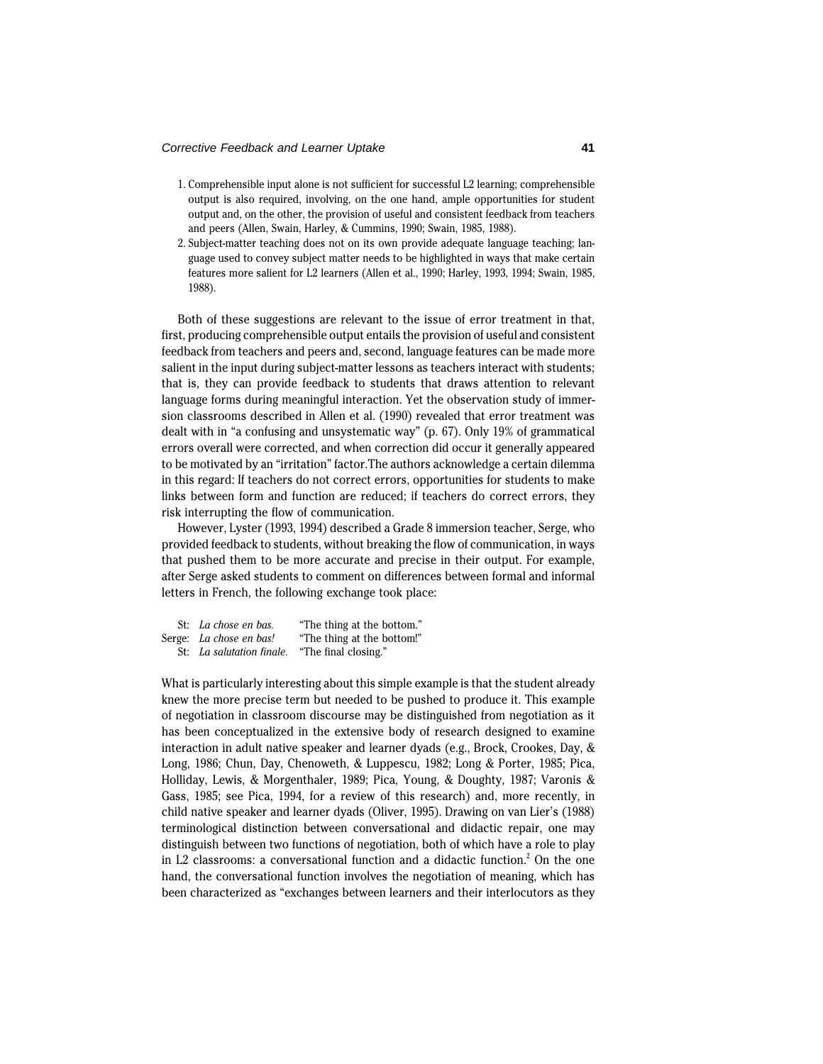#### Corrective Feedback and Learner Uptake **41**

- 1. Comprehensible input alone is not sufficient for successful L2 learning; comprehensible output is also required, involving, on the one hand, ample opportunities for student output and, on the other, the provision of useful and consistent feedback from teachers and peers (Allen, Swain, Harley, & Cummins, 1990; Swain, 1985, 1988).
- 2. Subject-matter teaching does not on its own provide adequate language teaching; language used to convey subject matter needs to be highlighted in ways that make certain features more salient for L2 learners (Allen et al., 1990; Harley, 1993, 1994; Swain, 1985, 1988).

Both of these suggestions are relevant to the issue of error treatment in that, first, producing comprehensible output entails the provision of useful and consistent feedback from teachers and peers and, second, language features can be made more salient in the input during subject-matter lessons as teachers interact with students; that is, they can provide feedback to students that draws attention to relevant language forms during meaningful interaction. Yet the observation study of immersion classrooms described in Allen et al. (1990) revealed that error treatment was dealt with in "a confusing and unsystematic way" (p. 67). Only 19% of grammatical errors overall were corrected, and when correction did occur it generally appeared to be motivated by an "irritation" factor.The authors acknowledge a certain dilemma in this regard: If teachers do not correct errors, opportunities for students to make links between form and function are reduced; if teachers do correct errors, they risk interrupting the flow of communication.

However, Lyster (1993, 1994) described a Grade 8 immersion teacher, Serge, who provided feedback to students, without breaking the flow of communication, in ways that pushed them to be more accurate and precise in their output. For example, after Serge asked students to comment on differences between formal and informal letters in French, the following exchange took place:

| St: La chose en bas.              | "The thing at the bottom." |
|-----------------------------------|----------------------------|
| Serge: La chose en bas!           | "The thing at the bottom!" |
| $\alpha$ r r $\beta$ and $\alpha$ |                            |

St: *La salutation finale.* "The final closing.

What is particularly interesting about this simple example is that the student already knew the more precise term but needed to be pushed to produce it. This example of negotiation in classroom discourse may be distinguished from negotiation as it has been conceptualized in the extensive body of research designed to examine interaction in adult native speaker and learner dyads (e.g., Brock, Crookes, Day, & Long, 1986; Chun, Day, Chenoweth, & Luppescu, 1982; Long & Porter, 1985; Pica, Holliday, Lewis, & Morgenthaler, 1989; Pica, Young, & Doughty, 1987; Varonis & Gass, 1985; see Pica, 1994, for a review of this research) and, more recently, in child native speaker and learner dyads (Oliver, 1995). Drawing on van Lier's (1988) terminological distinction between conversational and didactic repair, one may distinguish between two functions of negotiation, both of which have a role to play in L2 classrooms: a conversational function and a didactic function.<sup>2</sup> On the one hand, the conversational function involves the negotiation of meaning, which has been characterized as "exchanges between learners and their interlocutors as they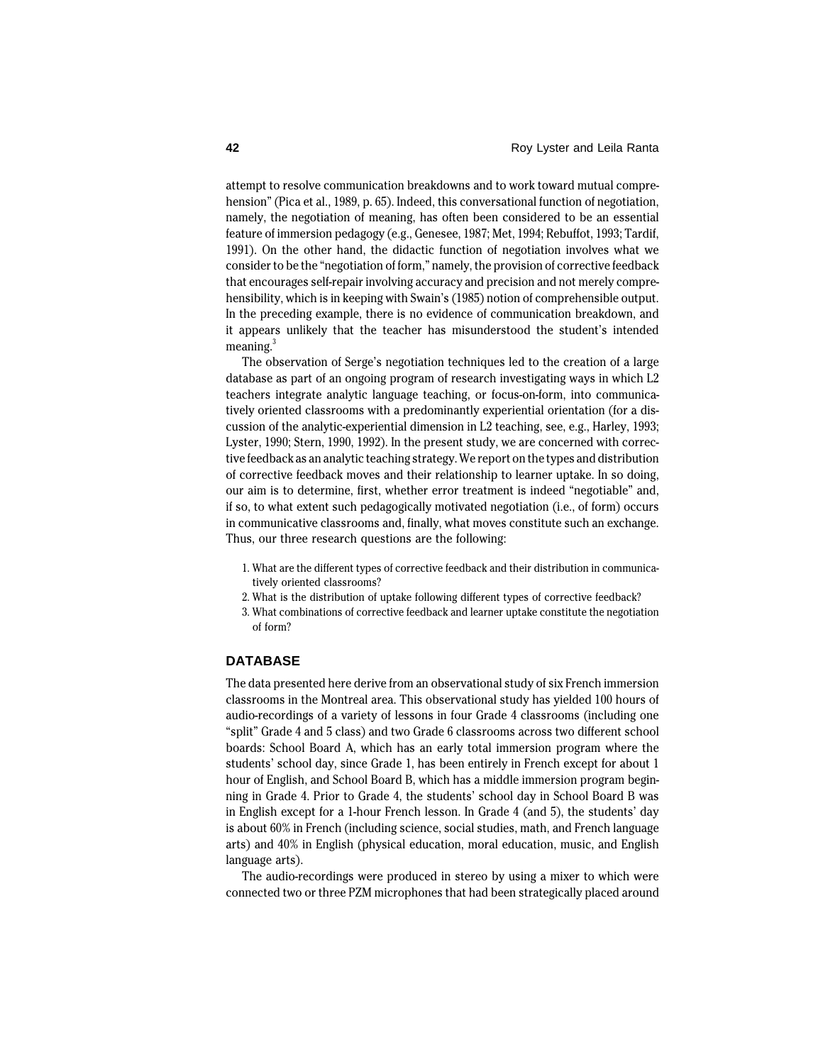attempt to resolve communication breakdowns and to work toward mutual comprehension" (Pica et al., 1989, p. 65). Indeed, this conversational function of negotiation, namely, the negotiation of meaning, has often been considered to be an essential feature of immersion pedagogy (e.g., Genesee, 1987; Met, 1994; Rebuffot, 1993; Tardif, 1991). On the other hand, the didactic function of negotiation involves what we consider to be the "negotiation of form," namely, the provision of corrective feedback that encourages self-repair involving accuracy and precision and not merely comprehensibility, which is in keeping with Swain's (1985) notion of comprehensible output. In the preceding example, there is no evidence of communication breakdown, and it appears unlikely that the teacher has misunderstood the student's intended meaning. $3$ 

The observation of Serge's negotiation techniques led to the creation of a large database as part of an ongoing program of research investigating ways in which L2 teachers integrate analytic language teaching, or focus-on-form, into communicatively oriented classrooms with a predominantly experiential orientation (for a discussion of the analytic-experiential dimension in L2 teaching, see, e.g., Harley, 1993; Lyster, 1990; Stern, 1990, 1992). In the present study, we are concerned with corrective feedback as an analytic teaching strategy. We report on the types and distribution of corrective feedback moves and their relationship to learner uptake. In so doing, our aim is to determine, first, whether error treatment is indeed "negotiable" and, if so, to what extent such pedagogically motivated negotiation (i.e., of form) occurs in communicative classrooms and, finally, what moves constitute such an exchange. Thus, our three research questions are the following:

- 1. What are the different types of corrective feedback and their distribution in communicatively oriented classrooms?
- 2. What is the distribution of uptake following different types of corrective feedback?
- 3. What combinations of corrective feedback and learner uptake constitute the negotiation of form?

# **DATABASE**

The data presented here derive from an observational study of six French immersion classrooms in the Montreal area. This observational study has yielded 100 hours of audio-recordings of a variety of lessons in four Grade 4 classrooms (including one "split" Grade 4 and 5 class) and two Grade 6 classrooms across two different school boards: School Board A, which has an early total immersion program where the students' school day, since Grade 1, has been entirely in French except for about 1 hour of English, and School Board B, which has a middle immersion program beginning in Grade 4. Prior to Grade 4, the students' school day in School Board B was in English except for a 1-hour French lesson. In Grade 4 (and 5), the students' day is about 60% in French (including science, social studies, math, and French language arts) and 40% in English (physical education, moral education, music, and English language arts).

The audio-recordings were produced in stereo by using a mixer to which were connected two or three PZM microphones that had been strategically placed around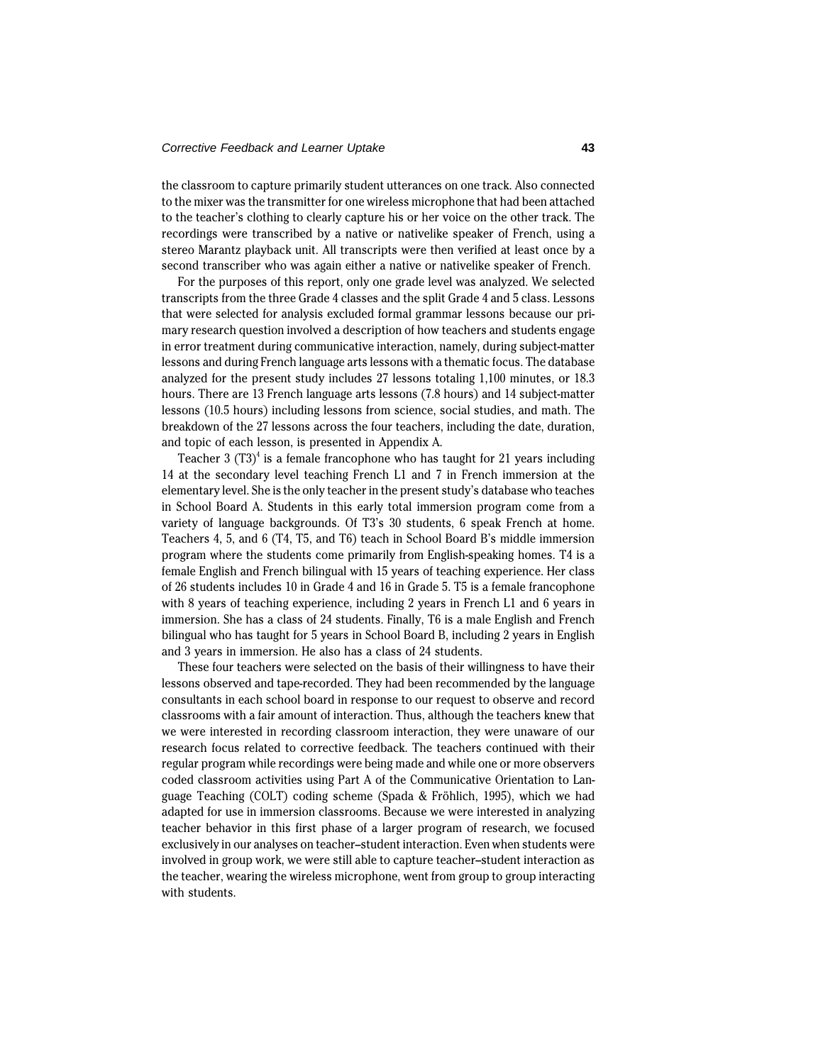the classroom to capture primarily student utterances on one track. Also connected to the mixer was the transmitter for one wireless microphone that had been attached to the teacher's clothing to clearly capture his or her voice on the other track. The recordings were transcribed by a native or nativelike speaker of French, using a stereo Marantz playback unit. All transcripts were then verified at least once by a second transcriber who was again either a native or nativelike speaker of French.

For the purposes of this report, only one grade level was analyzed. We selected transcripts from the three Grade 4 classes and the split Grade 4 and 5 class. Lessons that were selected for analysis excluded formal grammar lessons because our primary research question involved a description of how teachers and students engage in error treatment during communicative interaction, namely, during subject-matter lessons and during French language arts lessons with a thematic focus. The database analyzed for the present study includes 27 lessons totaling 1,100 minutes, or 18.3 hours. There are 13 French language arts lessons (7.8 hours) and 14 subject-matter lessons (10.5 hours) including lessons from science, social studies, and math. The breakdown of the 27 lessons across the four teachers, including the date, duration, and topic of each lesson, is presented in Appendix A.

Teacher 3  $(T3)^4$  is a female francophone who has taught for 21 years including 14 at the secondary level teaching French L1 and 7 in French immersion at the elementary level. She is the only teacher in the present study's database who teaches in School Board A. Students in this early total immersion program come from a variety of language backgrounds. Of T3's 30 students, 6 speak French at home. Teachers 4, 5, and 6 (T4, T5, and T6) teach in School Board B's middle immersion program where the students come primarily from English-speaking homes. T4 is a female English and French bilingual with 15 years of teaching experience. Her class of 26 students includes 10 in Grade 4 and 16 in Grade 5. T5 is a female francophone with 8 years of teaching experience, including 2 years in French L1 and 6 years in immersion. She has a class of 24 students. Finally, T6 is a male English and French bilingual who has taught for 5 years in School Board B, including 2 years in English and 3 years in immersion. He also has a class of 24 students.

These four teachers were selected on the basis of their willingness to have their lessons observed and tape-recorded. They had been recommended by the language consultants in each school board in response to our request to observe and record classrooms with a fair amount of interaction. Thus, although the teachers knew that we were interested in recording classroom interaction, they were unaware of our research focus related to corrective feedback. The teachers continued with their regular program while recordings were being made and while one or more observers coded classroom activities using Part A of the Communicative Orientation to Language Teaching (COLT) coding scheme (Spada & Fröhlich, 1995), which we had adapted for use in immersion classrooms. Because we were interested in analyzing teacher behavior in this first phase of a larger program of research, we focused exclusively in our analyses on teacher–student interaction. Even when students were involved in group work, we were still able to capture teacher–student interaction as the teacher, wearing the wireless microphone, went from group to group interacting with students.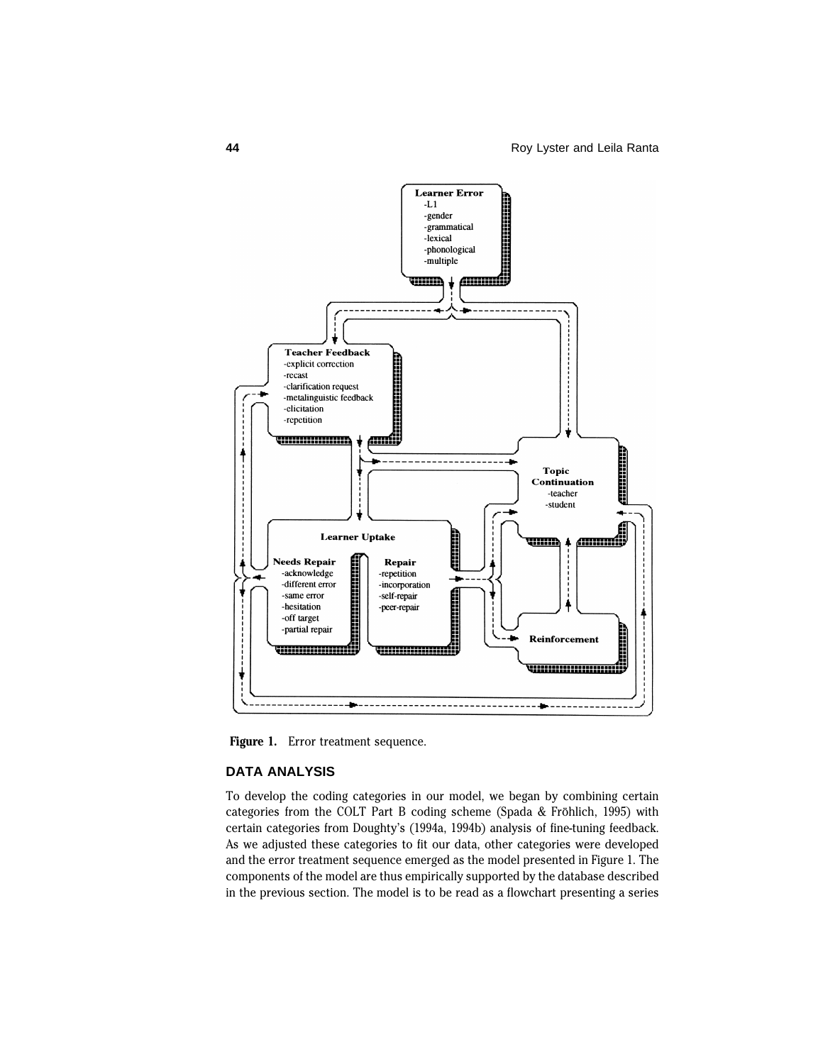

Figure 1. Error treatment sequence.

# **DATA ANALYSIS**

To develop the coding categories in our model, we began by combining certain categories from the COLT Part B coding scheme (Spada & Fröhlich, 1995) with certain categories from Doughty's (1994a, 1994b) analysis of fine-tuning feedback. As we adjusted these categories to fit our data, other categories were developed and the error treatment sequence emerged as the model presented in Figure 1. The components of the model are thus empirically supported by the database described in the previous section. The model is to be read as a flowchart presenting a series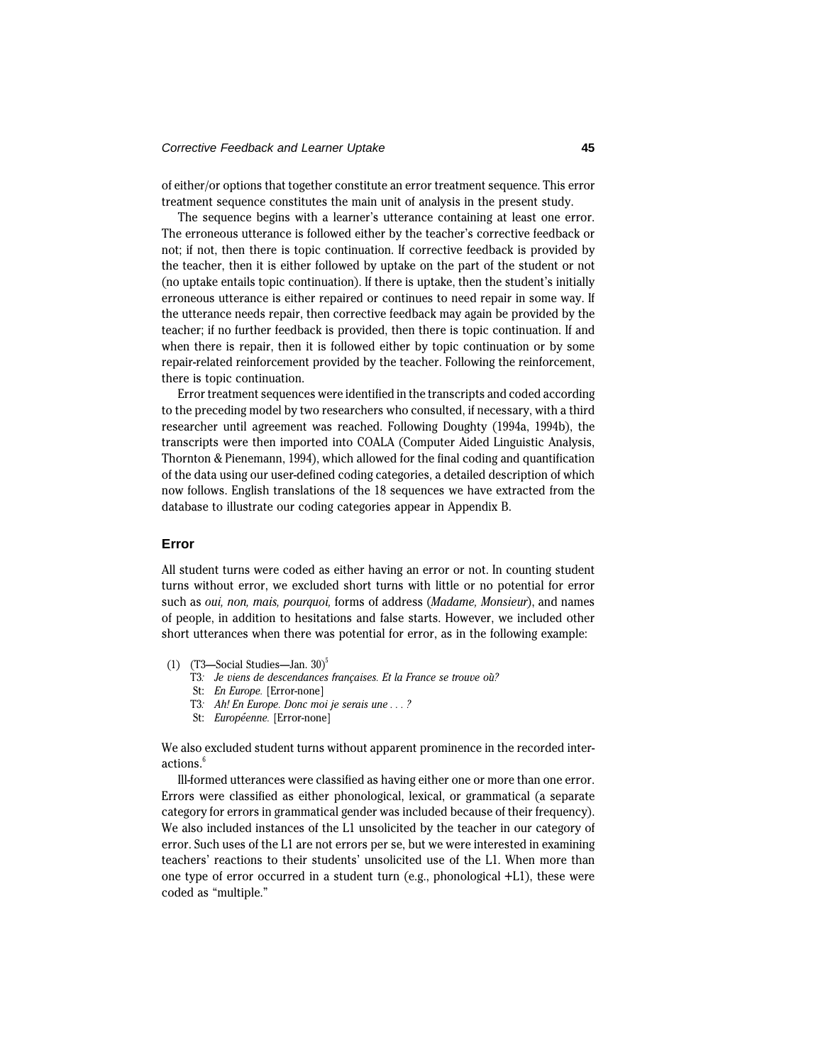of either/or options that together constitute an error treatment sequence. This error treatment sequence constitutes the main unit of analysis in the present study.

The sequence begins with a learner's utterance containing at least one error. The erroneous utterance is followed either by the teacher's corrective feedback or not; if not, then there is topic continuation. If corrective feedback is provided by the teacher, then it is either followed by uptake on the part of the student or not (no uptake entails topic continuation). If there is uptake, then the student's initially erroneous utterance is either repaired or continues to need repair in some way. If the utterance needs repair, then corrective feedback may again be provided by the teacher; if no further feedback is provided, then there is topic continuation. If and when there is repair, then it is followed either by topic continuation or by some repair-related reinforcement provided by the teacher. Following the reinforcement, there is topic continuation.

Error treatment sequences were identified in the transcripts and coded according to the preceding model by two researchers who consulted, if necessary, with a third researcher until agreement was reached. Following Doughty (1994a, 1994b), the transcripts were then imported into COALA (Computer Aided Linguistic Analysis, Thornton & Pienemann, 1994), which allowed for the final coding and quantification of the data using our user-defined coding categories, a detailed description of which now follows. English translations of the 18 sequences we have extracted from the database to illustrate our coding categories appear in Appendix B.

# **Error**

All student turns were coded as either having an error or not. In counting student turns without error, we excluded short turns with little or no potential for error such as *oui, non, mais, pourquoi,* forms of address (*Madame, Monsieur*), and names of people, in addition to hesitations and false starts. However, we included other short utterances when there was potential for error, as in the following example:

- (1) (T3—Social Studies—Jan.  $30$ <sup>5</sup>
	- T3: Je viens de descendances françaises. Et la France se trouve où?
	- St: *En Europe.* [Error-none]
	- T3*: Ah! En Europe. Donc moi je serais une...?*
	- St: *Européenne*. [Error-none]

We also excluded student turns without apparent prominence in the recorded interactions.<sup>6</sup>

Ill-formed utterances were classified as having either one or more than one error. Errors were classified as either phonological, lexical, or grammatical (a separate category for errors in grammatical gender was included because of their frequency). We also included instances of the L1 unsolicited by the teacher in our category of error. Such uses of the L1 are not errors per se, but we were interested in examining teachers' reactions to their students' unsolicited use of the L1. When more than one type of error occurred in a student turn (e.g., phonological  $+ L1$ ), these were coded as "multiple."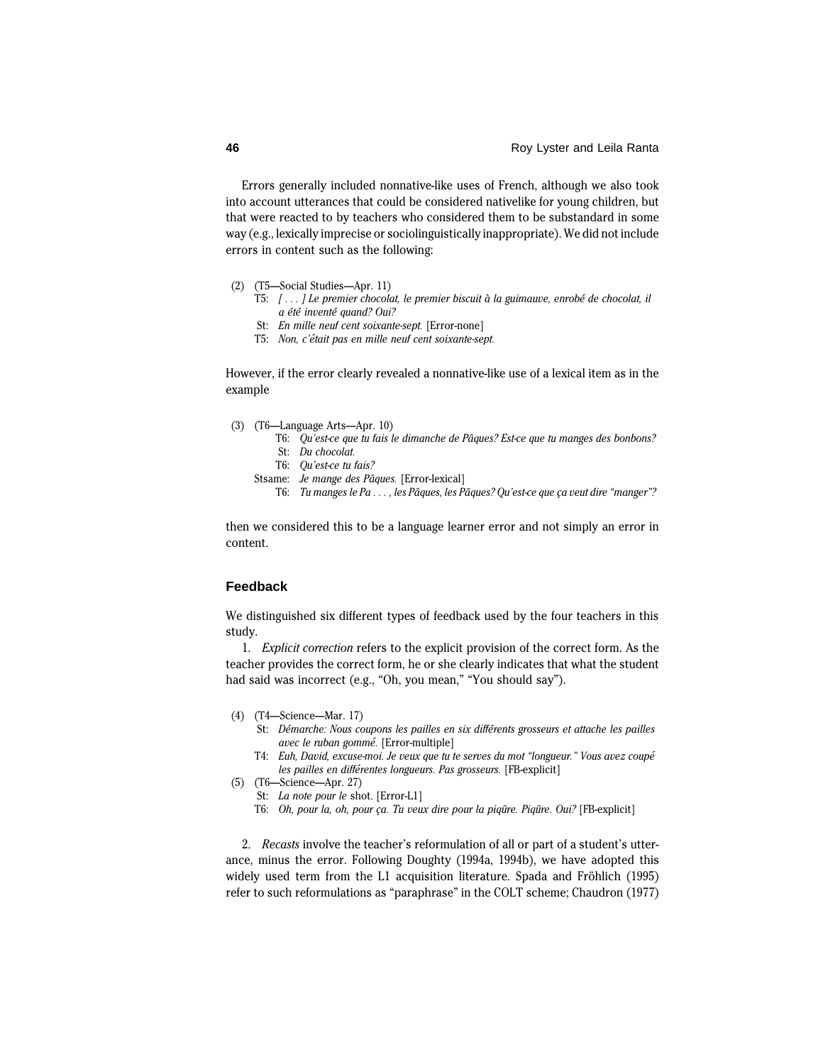Errors generally included nonnative-like uses of French, although we also took into account utterances that could be considered nativelike for young children, but that were reacted to by teachers who considered them to be substandard in some way (e.g., lexically imprecise or sociolinguistically inappropriate). We did not include errors in content such as the following:

- (2) (T5—Social Studies—Apr. 11)
	- T5: *[ . . . ] Le premier chocolat, le premier biscuit a` la guimauve, enrobe´ de chocolat, il a e´te´ invente´ quand? Oui?*
	- St: *En mille neuf cent soixante-sept.* [Error-none]
	- T5: *Non, c'e´tait pas en mille neuf cent soixante-sept.*

However, if the error clearly revealed a nonnative-like use of a lexical item as in the example

- (3) (T6—Language Arts—Apr. 10)
	- T6: *Qu'est-ce que tu fais le dimanche de Paˆques? Est-ce que tu manges des bonbons?* St: *Du chocolat.*
		- T6: *Qu'est-ce tu fais?*
		- Stsame: *Je mange des Pâques.* [Error-lexical]
			- T6: *Tu manges le Pa ..., les Pâques, les Pâques? Qu'est-ce que ça veut dire "manger"?*

then we considered this to be a language learner error and not simply an error in content.

# **Feedback**

We distinguished six different types of feedback used by the four teachers in this study.

1. *Explicit correction* refers to the explicit provision of the correct form. As the teacher provides the correct form, he or she clearly indicates that what the student had said was incorrect (e.g., "Oh, you mean," "You should say").

- (4) (T4—Science—Mar. 17)
	- St: Démarche: Nous coupons les pailles en six différents grosseurs et attache les pailles *avec le ruban gomme´.* [Error-multiple]
	- T4: *Euh, David, excuse-moi. Je veux que tu te serves du mot "longueur." Vous avez coupe´ les pailles en diffe´rentes longueurs. Pas grosseurs.* [FB-explicit]
- (5) (T6—Science—Apr. 27)
	- St: *La note pour le* shot. [Error-L1]
	- T6: Oh, pour la, oh, pour ça. Tu veux dire pour la piqûre. Piqûre. Oui? [FB-explicit]

2. *Recasts* involve the teacher's reformulation of all or part of a student's utterance, minus the error. Following Doughty (1994a, 1994b), we have adopted this widely used term from the L1 acquisition literature. Spada and Fröhlich (1995) refer to such reformulations as "paraphrase" in the COLT scheme; Chaudron (1977)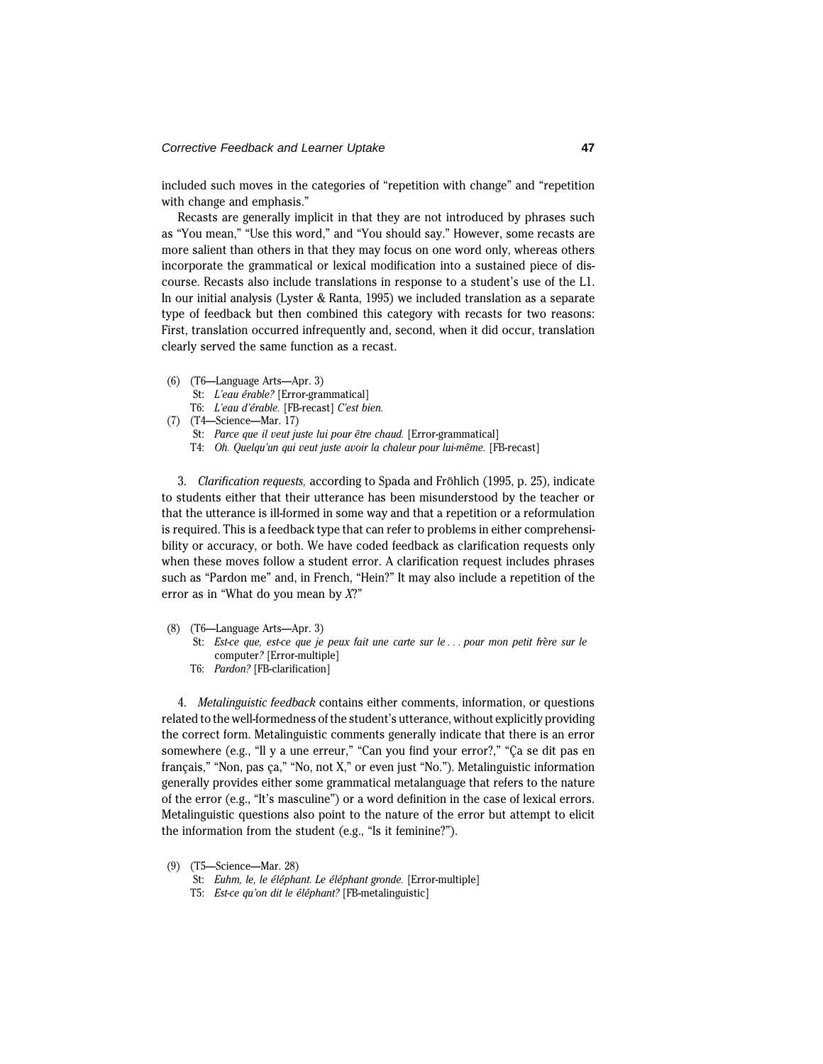included such moves in the categories of "repetition with change" and "repetition with change and emphasis."

Recasts are generally implicit in that they are not introduced by phrases such as "You mean," "Use this word," and "You should say." However, some recasts are more salient than others in that they may focus on one word only, whereas others incorporate the grammatical or lexical modification into a sustained piece of discourse. Recasts also include translations in response to a student's use of the L1. In our initial analysis (Lyster & Ranta, 1995) we included translation as a separate type of feedback but then combined this category with recasts for two reasons: First, translation occurred infrequently and, second, when it did occur, translation clearly served the same function as a recast.

- (6) (T6—Language Arts—Apr. 3) St: *L'eau érable?* [Error-grammatical] T6: *L'eau d'e´rable.* [FB-recast] *C'est bien.*
- (7) (T4—Science—Mar. 17) St: Parce que il veut juste lui pour être chaud. [Error-grammatical] T4: Oh. Quelqu'un qui veut juste avoir la chaleur pour lui-même. [FB-recast]

3. *Clarification requests, according to Spada and Fröhlich (1995, p. 25), indicate* to students either that their utterance has been misunderstood by the teacher or that the utterance is ill-formed in some way and that a repetition or a reformulation is required. This is a feedback type that can refer to problems in either comprehensibility or accuracy, or both. We have coded feedback as clarification requests only when these moves follow a student error. A clarification request includes phrases such as "Pardon me" and, in French, "Hein?" It may also include a repetition of the error as in "What do you mean by *X*?"

- (8) (T6—Language Arts—Apr. 3)
	- St: *Est-ce que, est-ce que je peux fait une carte sur le... pour mon petit frère sur le* computer*?* [Error-multiple]
	- T6: *Pardon?* [FB-clarification]

4. *Metalinguistic feedback* contains either comments, information, or questions related to the well-formedness of the student's utterance, without explicitly providing the correct form. Metalinguistic comments generally indicate that there is an error somewhere (e.g., "Il y a une erreur," "Can you find your error?," "Ça se dit pas en français," "Non, pas ça," "No, not X," or even just "No."). Metalinguistic information generally provides either some grammatical metalanguage that refers to the nature of the error (e.g., "It's masculine") or a word definition in the case of lexical errors. Metalinguistic questions also point to the nature of the error but attempt to elicit the information from the student (e.g., "Is it feminine?").

- (9) (T5—Science—Mar. 28)
	- St: Euhm, le, le éléphant. Le éléphant gronde. [Error-multiple]
	- T5: Est-ce qu'on dit le éléphant? [FB-metalinguistic]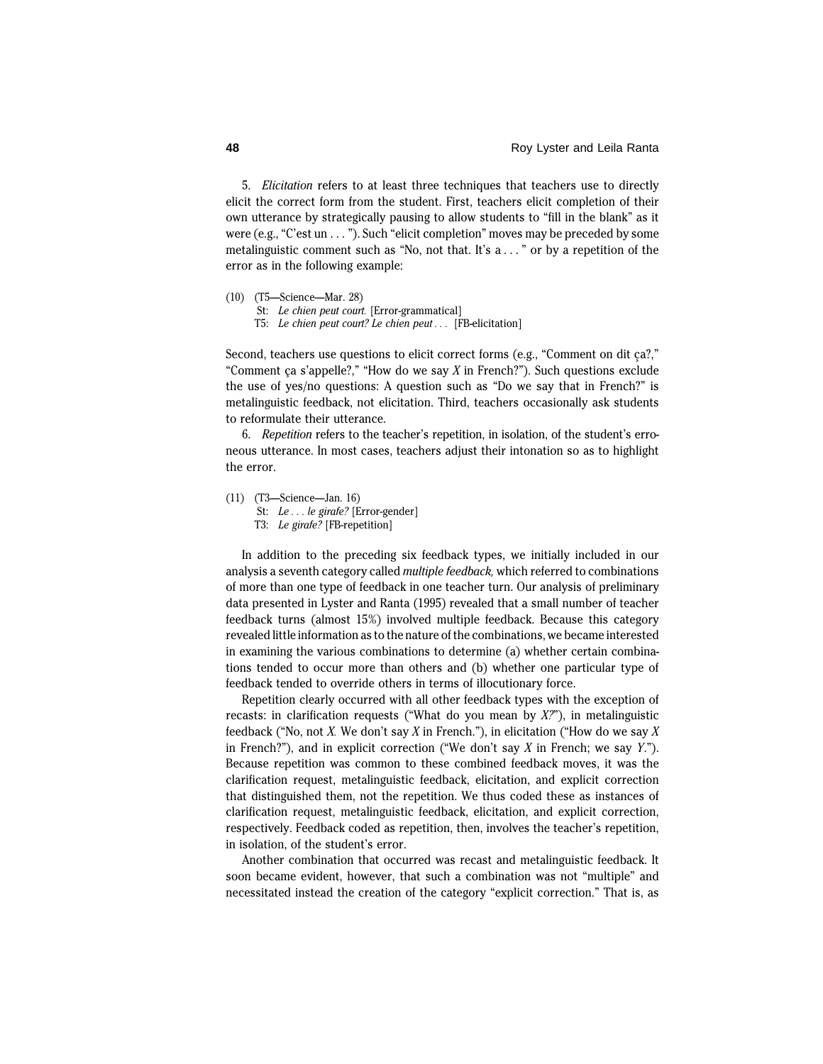5. *Elicitation* refers to at least three techniques that teachers use to directly elicit the correct form from the student. First, teachers elicit completion of their own utterance by strategically pausing to allow students to "fill in the blank" as it were (e.g., "C'est un . . . "). Such "elicit completion" moves may be preceded by some metalinguistic comment such as "No, not that. It's a . . . " or by a repetition of the error as in the following example:

- (10) (T5—Science—Mar. 28)
	- St: *Le chien peut court.* [Error-grammatical]
	- T5: *Le chien peut court? Le chien peut...* [FB-elicitation]

Second, teachers use questions to elicit correct forms (e.g., "Comment on dit ça?," "Comment ça s'appelle?," "How do we say *X* in French?"). Such questions exclude the use of yes/no questions: A question such as "Do we say that in French?" is metalinguistic feedback, not elicitation. Third, teachers occasionally ask students to reformulate their utterance.

6. *Repetition* refers to the teacher's repetition, in isolation, of the student's erroneous utterance. In most cases, teachers adjust their intonation so as to highlight the error.

(11) (T3—Science—Jan. 16) St: *Le . . . le girafe?* [Error-gender] T3: *Le girafe?* [FB-repetition]

In addition to the preceding six feedback types, we initially included in our analysis a seventh category called *multiple feedback,* which referred to combinations of more than one type of feedback in one teacher turn. Our analysis of preliminary data presented in Lyster and Ranta (1995) revealed that a small number of teacher feedback turns (almost 15%) involved multiple feedback. Because this category revealed little information as to the nature of the combinations, we became interested in examining the various combinations to determine (a) whether certain combinations tended to occur more than others and (b) whether one particular type of feedback tended to override others in terms of illocutionary force.

Repetition clearly occurred with all other feedback types with the exception of recasts: in clarification requests ("What do you mean by *X?*"), in metalinguistic feedback ("No, not *X.* We don't say *X* in French."), in elicitation ("How do we say *X* in French?"), and in explicit correction ("We don't say *X* in French; we say *Y*."). Because repetition was common to these combined feedback moves, it was the clarification request, metalinguistic feedback, elicitation, and explicit correction that distinguished them, not the repetition. We thus coded these as instances of clarification request, metalinguistic feedback, elicitation, and explicit correction, respectively. Feedback coded as repetition, then, involves the teacher's repetition, in isolation, of the student's error.

Another combination that occurred was recast and metalinguistic feedback. It soon became evident, however, that such a combination was not "multiple" and necessitated instead the creation of the category "explicit correction." That is, as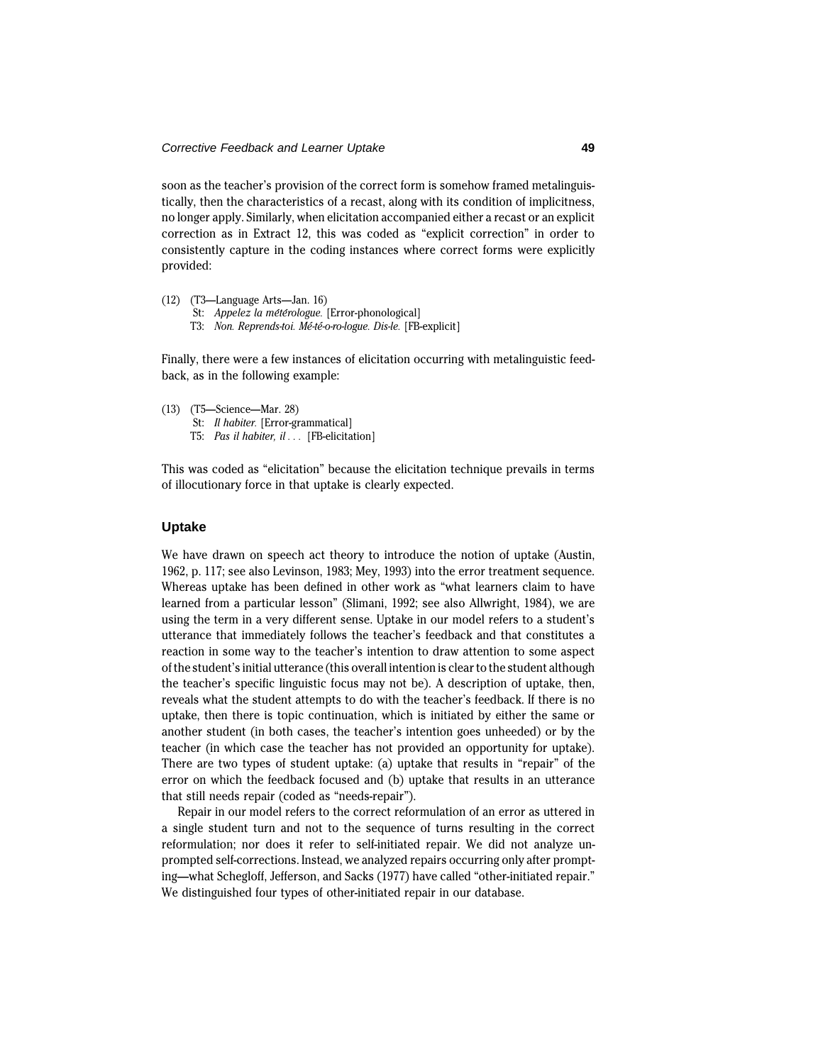soon as the teacher's provision of the correct form is somehow framed metalinguistically, then the characteristics of a recast, along with its condition of implicitness, no longer apply. Similarly, when elicitation accompanied either a recast or an explicit correction as in Extract 12, this was coded as "explicit correction" in order to consistently capture in the coding instances where correct forms were explicitly provided:

- (12) (T3—Language Arts—Jan. 16)
	- St: *Appelez la métérologue.* [Error-phonological]
	- T3: *Non. Reprends-toi. Me´-te´-o-ro-logue. Dis-le.* [FB-explicit]

Finally, there were a few instances of elicitation occurring with metalinguistic feedback, as in the following example:

- (13) (T5—Science—Mar. 28)
	- St: *Il habiter.* [Error-grammatical]

T5: *Pas il habiter, il...* [FB-elicitation]

This was coded as "elicitation" because the elicitation technique prevails in terms of illocutionary force in that uptake is clearly expected.

## **Uptake**

We have drawn on speech act theory to introduce the notion of uptake (Austin, 1962, p. 117; see also Levinson, 1983; Mey, 1993) into the error treatment sequence. Whereas uptake has been defined in other work as "what learners claim to have learned from a particular lesson" (Slimani, 1992; see also Allwright, 1984), we are using the term in a very different sense. Uptake in our model refers to a student's utterance that immediately follows the teacher's feedback and that constitutes a reaction in some way to the teacher's intention to draw attention to some aspect of the student's initial utterance (this overall intention is clear to the student although the teacher's specific linguistic focus may not be). A description of uptake, then, reveals what the student attempts to do with the teacher's feedback. If there is no uptake, then there is topic continuation, which is initiated by either the same or another student (in both cases, the teacher's intention goes unheeded) or by the teacher (in which case the teacher has not provided an opportunity for uptake). There are two types of student uptake: (a) uptake that results in "repair" of the error on which the feedback focused and (b) uptake that results in an utterance that still needs repair (coded as "needs-repair").

Repair in our model refers to the correct reformulation of an error as uttered in a single student turn and not to the sequence of turns resulting in the correct reformulation; nor does it refer to self-initiated repair. We did not analyze unprompted self-corrections. Instead, we analyzed repairs occurring only after prompting—what Schegloff, Jefferson, and Sacks (1977) have called "other-initiated repair." We distinguished four types of other-initiated repair in our database.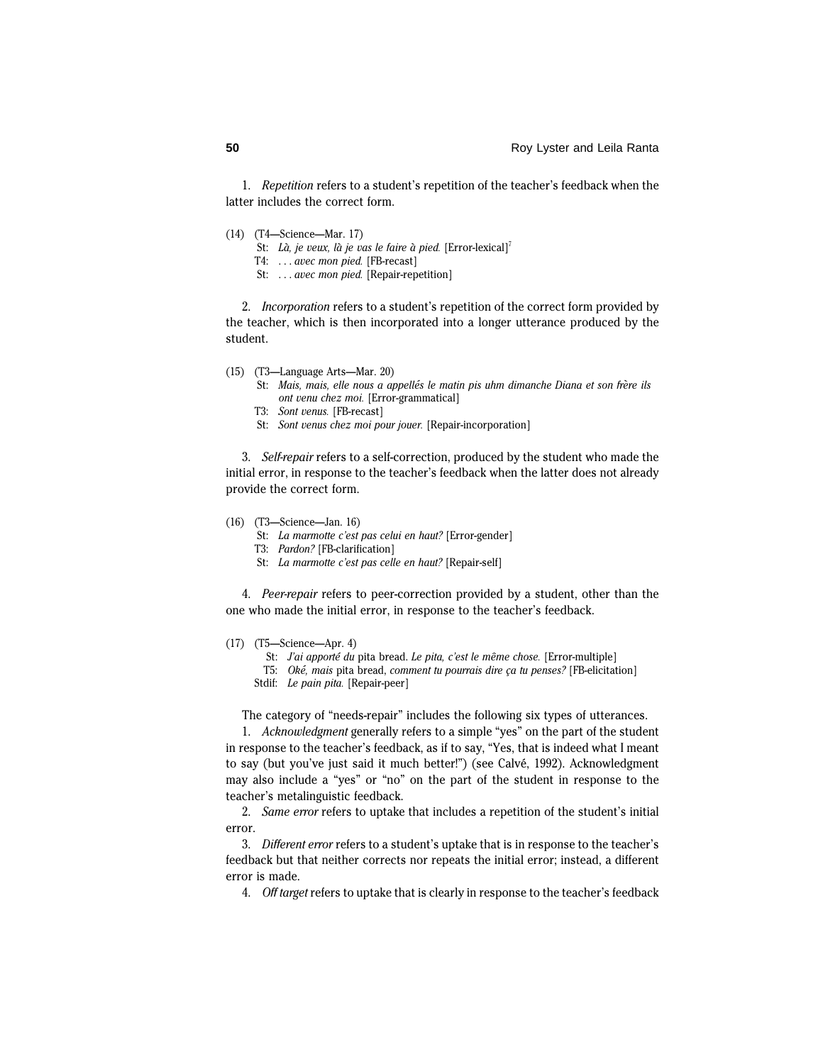1. *Repetition* refers to a student's repetition of the teacher's feedback when the latter includes the correct form.

- (14) (T4—Science—Mar. 17)
	- St: *La*, *je veux, la je vas le faire à pied.* [Error-lexical]<sup>7</sup>
	- T4: . . . *avec mon pied.* [FB-recast]
	- St: . . . *avec mon pied.* [Repair-repetition]

2. *Incorporation* refers to a student's repetition of the correct form provided by the teacher, which is then incorporated into a longer utterance produced by the student.

- (15) (T3—Language Arts—Mar. 20)
	- St: Mais, mais, elle nous a appellés le matin pis uhm dimanche Diana et son frère ils *ont venu chez moi.* [Error-grammatical]
	- T3: *Sont venus.* [FB-recast]
	- St: *Sont venus chez moi pour jouer.* [Repair-incorporation]

3. *Self-repair* refers to a self-correction, produced by the student who made the initial error, in response to the teacher's feedback when the latter does not already provide the correct form.

(16) (T3—Science—Jan. 16)

St: *La marmotte c'est pas celui en haut?* [Error-gender]

- T3: *Pardon?* [FB-clarification]
- St: *La marmotte c'est pas celle en haut?* [Repair-self]

4. *Peer-repair* refers to peer-correction provided by a student, other than the one who made the initial error, in response to the teacher's feedback.

- (17) (T5—Science—Apr. 4)
	- St: *J'ai apporté du* pita bread. *Le pita, c'est le même chose*. [Error-multiple]
	- T5: *Oké, mais* pita bread, *comment tu pourrais dire ça tu penses?* [FB-elicitation]
	- Stdif: *Le pain pita.* [Repair-peer]

The category of "needs-repair" includes the following six types of utterances.

1. *Acknowledgment* generally refers to a simple "yes" on the part of the student in response to the teacher's feedback, as if to say, "Yes, that is indeed what I meant to say (but you've just said it much better!") (see Calvé, 1992). Acknowledgment may also include a "yes" or "no" on the part of the student in response to the teacher's metalinguistic feedback.

2. *Same error* refers to uptake that includes a repetition of the student's initial error.

3. *Different error* refers to a student's uptake that is in response to the teacher's feedback but that neither corrects nor repeats the initial error; instead, a different error is made.

4. *Off target* refers to uptake that is clearly in response to the teacher's feedback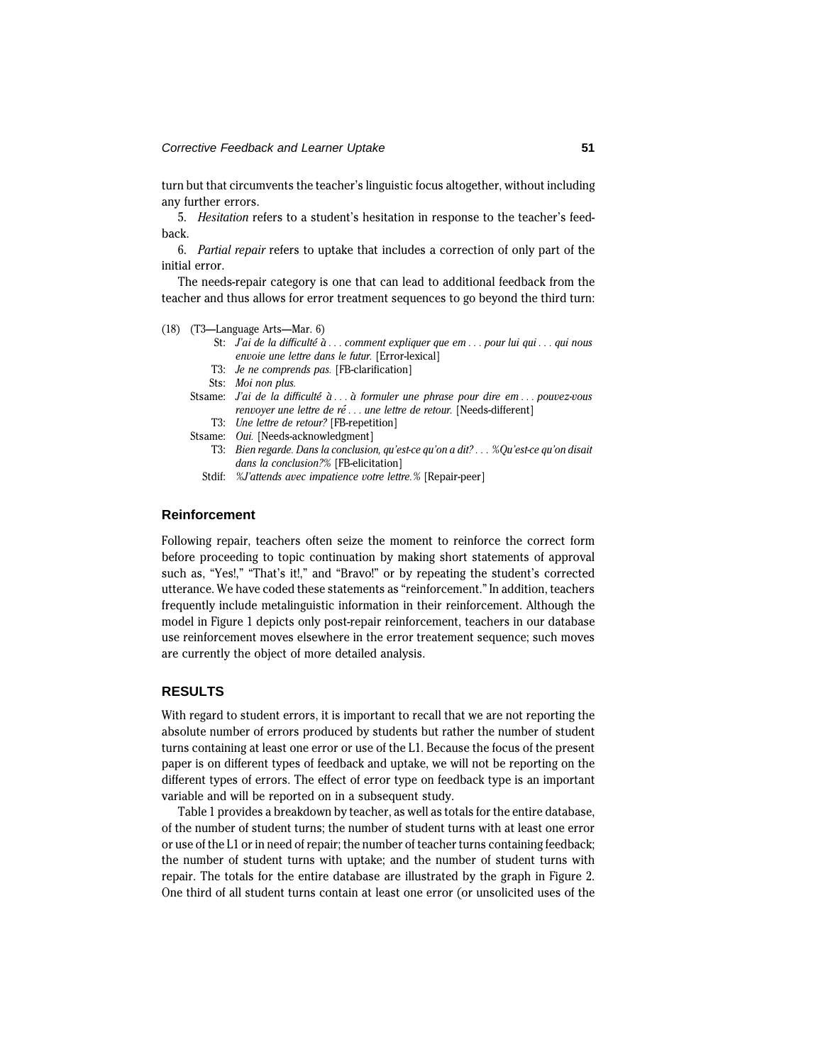turn but that circumvents the teacher's linguistic focus altogether, without including any further errors.

5. *Hesitation* refers to a student's hesitation in response to the teacher's feedback.

6. *Partial repair* refers to uptake that includes a correction of only part of the initial error.

The needs-repair category is one that can lead to additional feedback from the teacher and thus allows for error treatment sequences to go beyond the third turn:

(18) (T3—Language Arts—Mar. 6)

- St: *J'ai de la difficulte´ a` . . . comment expliquer que em... pour lui qui . . . qui nous envoie une lettre dans le futur.* [Error-lexical]
	- T3: *Je ne comprends pas.* [FB-clarification]
	- Sts: *Moi non plus.*
- Stsame: *J'ai de la difficulte´ a` ...a` formuler une phrase pour dire em... pouvez-vous renvoyer une lettre de re´ . . . une lettre de retour.* [Needs-different]
	- T3: *Une lettre de retour?* [FB-repetition]
- Stsame: *Oui.* [Needs-acknowledgment]
	- T3: *Bien regarde. Dans la conclusion, qu'est-ce qu'on a dit?... %Qu'est-ce qu'on disait dans la conclusion?%* [FB-elicitation]
	- Stdif: *%J'attends avec impatience votre lettre.%* [Repair-peer]

### **Reinforcement**

Following repair, teachers often seize the moment to reinforce the correct form before proceeding to topic continuation by making short statements of approval such as, "Yes!," "That's it!," and "Bravo!" or by repeating the student's corrected utterance. We have coded these statements as "reinforcement." In addition, teachers frequently include metalinguistic information in their reinforcement. Although the model in Figure 1 depicts only post-repair reinforcement, teachers in our database use reinforcement moves elsewhere in the error treatement sequence; such moves are currently the object of more detailed analysis.

## **RESULTS**

With regard to student errors, it is important to recall that we are not reporting the absolute number of errors produced by students but rather the number of student turns containing at least one error or use of the L1. Because the focus of the present paper is on different types of feedback and uptake, we will not be reporting on the different types of errors. The effect of error type on feedback type is an important variable and will be reported on in a subsequent study.

Table 1 provides a breakdown by teacher, as well as totals for the entire database, of the number of student turns; the number of student turns with at least one error or use of the L1 or in need of repair; the number of teacher turns containing feedback; the number of student turns with uptake; and the number of student turns with repair. The totals for the entire database are illustrated by the graph in Figure 2. One third of all student turns contain at least one error (or unsolicited uses of the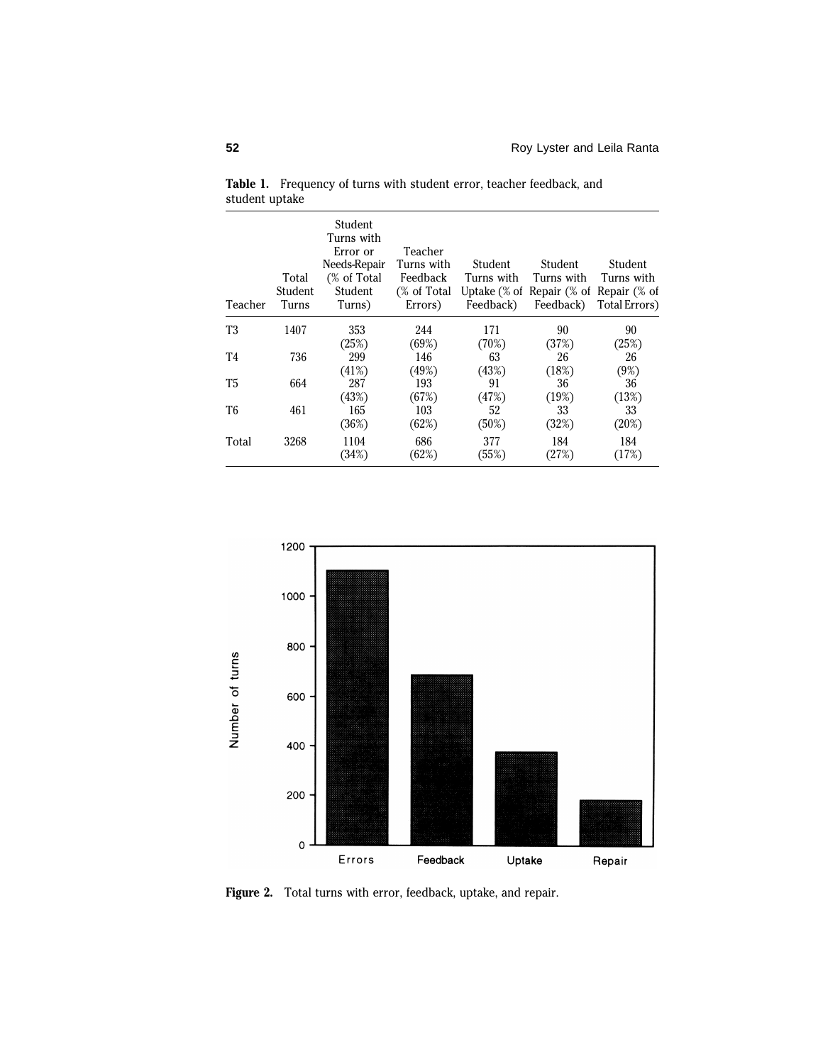| Teacher | Total<br>Student<br>Turns | Student<br>Turns with<br>Error or<br>Needs-Repair<br>(% of Total<br>Student<br>Turns) | Teacher<br>Turns with<br>Feedback<br>(% of Total<br>Errors) | Student<br>Turns with<br>Feedback) | Student<br>Turns with<br>Uptake $%$ of Repair $%$ of Repair $%$ of<br>Feedback) | Student<br>Turns with<br>Total Errors) |
|---------|---------------------------|---------------------------------------------------------------------------------------|-------------------------------------------------------------|------------------------------------|---------------------------------------------------------------------------------|----------------------------------------|
| Т3      | 1407                      | 353                                                                                   | 244                                                         | 171                                | 90                                                                              | 90                                     |
|         |                           | (25%)                                                                                 | $(69\%)$                                                    | (70%)                              | (37%)                                                                           | (25%)                                  |
| T4      | 736                       | 299                                                                                   | 146                                                         | 63                                 | 26                                                                              | 26                                     |
|         |                           | (41%)                                                                                 | $(49\%)$                                                    | (43%)                              | (18%)                                                                           | (9%)                                   |
| T5      | 664                       | 287                                                                                   | 193                                                         | 91                                 | 36                                                                              | 36                                     |
|         |                           | (43%)                                                                                 | (67%)                                                       | (47%)                              | (19%)                                                                           | (13%)                                  |
| T6      | 461                       | 165                                                                                   | 103                                                         | 52                                 | 33                                                                              | 33                                     |
|         |                           | (36%)                                                                                 | (62%)                                                       | $(50\%)$                           | (32%)                                                                           | (20%)                                  |
| Total   | 3268                      | 1104                                                                                  | 686                                                         | 377                                | 184                                                                             | 184                                    |
|         |                           | (34%)                                                                                 | (62%)                                                       | (55%)                              | (27%)                                                                           | (17%)                                  |

**Table 1.** Frequency of turns with student error, teacher feedback, and student uptake



**Figure 2.** Total turns with error, feedback, uptake, and repair.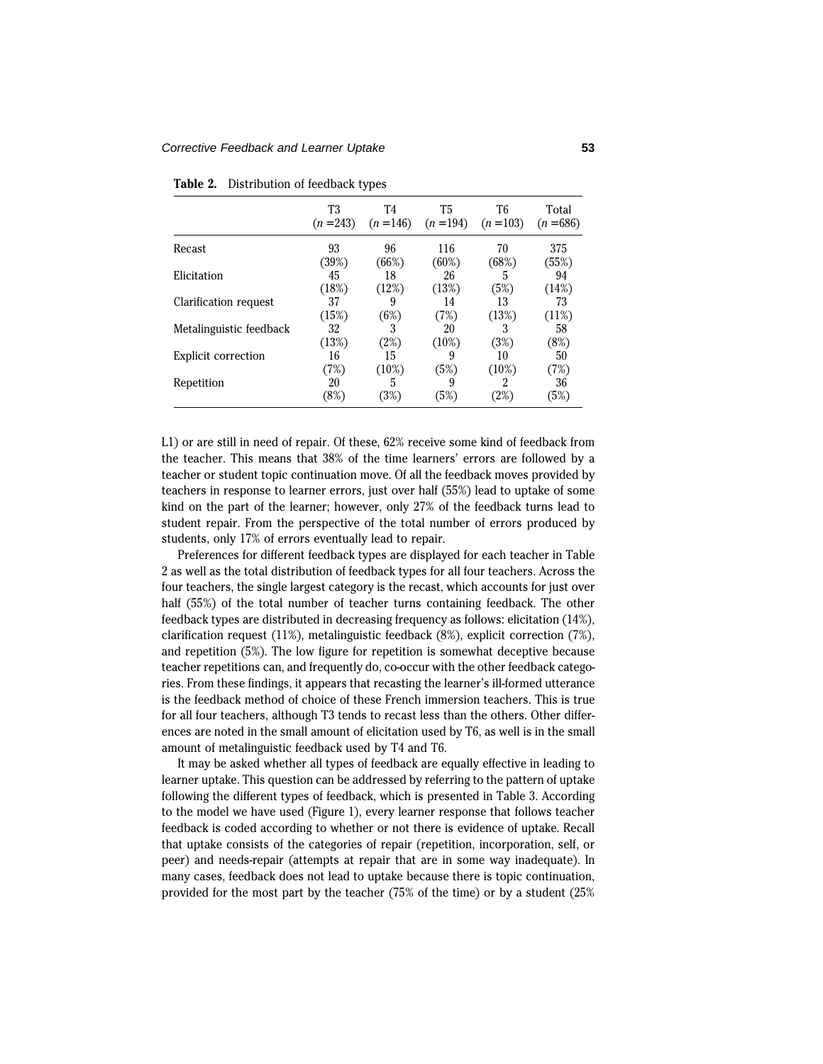|                            | T3          | T4          | T5          | T6          | Total       |
|----------------------------|-------------|-------------|-------------|-------------|-------------|
|                            | $(n = 243)$ | $(n = 146)$ | $(n = 194)$ | $(n = 103)$ | $(n = 686)$ |
| Recast                     | 93          | 96          | 116         | 70          | 375         |
| Elicitation                | (39%)       | $(66\%)$    | $(60\%)$    | (68%)       | (55%)       |
|                            | 45          | 18          | 26          | 5           | 94          |
| Clarification request      | (18%)       | (12%)       | (13%)       | (5%)        | (14%)       |
|                            | 37          | 9           | 14          | 13          | 73          |
| Metalinguistic feedback    | (15%)       | (6%)        | (7%)        | (13%)       | $(11\%)$    |
|                            | 32          | 3           | 20          | 3           | 58          |
| <b>Explicit correction</b> | (13%)       | (2%)        | $(10\%)$    | (3%)        | (8%)        |
|                            | 16          | 15          | 9           | 10          | 50          |
| Repetition                 | (7%)        | $(10\%)$    | (5%)        | $(10\%)$    | (7%)        |
|                            | 20          | 5           | 9           | 2           | 36          |
|                            | (8%)        | (3%)        | (5%)        | (2%)        | (5%)        |

|  | Table 2. Distribution of feedback types |  |  |
|--|-----------------------------------------|--|--|
|--|-----------------------------------------|--|--|

L1) or are still in need of repair. Of these, 62% receive some kind of feedback from the teacher. This means that 38% of the time learners' errors are followed by a teacher or student topic continuation move. Of all the feedback moves provided by teachers in response to learner errors, just over half (55%) lead to uptake of some kind on the part of the learner; however, only 27% of the feedback turns lead to student repair. From the perspective of the total number of errors produced by students, only 17% of errors eventually lead to repair.

Preferences for different feedback types are displayed for each teacher in Table 2 as well as the total distribution of feedback types for all four teachers. Across the four teachers, the single largest category is the recast, which accounts for just over half (55%) of the total number of teacher turns containing feedback. The other feedback types are distributed in decreasing frequency as follows: elicitation (14%), clarification request (11%), metalinguistic feedback (8%), explicit correction (7%), and repetition (5%). The low figure for repetition is somewhat deceptive because teacher repetitions can, and frequently do, co-occur with the other feedback categories. From these findings, it appears that recasting the learner's ill-formed utterance is the feedback method of choice of these French immersion teachers. This is true for all four teachers, although T3 tends to recast less than the others. Other differences are noted in the small amount of elicitation used by T6, as well is in the small amount of metalinguistic feedback used by T4 and T6.

It may be asked whether all types of feedback are equally effective in leading to learner uptake. This question can be addressed by referring to the pattern of uptake following the different types of feedback, which is presented in Table 3. According to the model we have used (Figure 1), every learner response that follows teacher feedback is coded according to whether or not there is evidence of uptake. Recall that uptake consists of the categories of repair (repetition, incorporation, self, or peer) and needs-repair (attempts at repair that are in some way inadequate). In many cases, feedback does not lead to uptake because there is topic continuation, provided for the most part by the teacher (75% of the time) or by a student (25%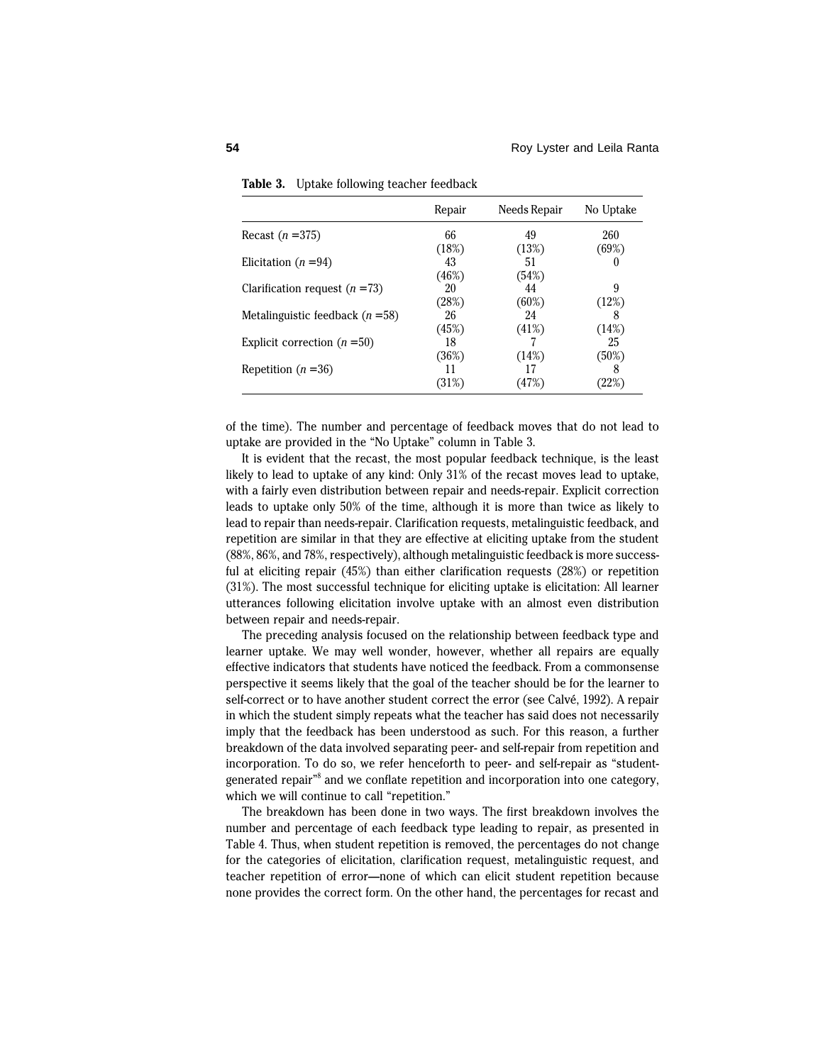|                                  | Repair   | Needs Repair | No Uptake |
|----------------------------------|----------|--------------|-----------|
| Recast $(n=375)$                 | 66       | 49           | 260       |
|                                  | (18%)    | (13%)        | $(69\%)$  |
| Elicitation ( $n = 94$ )         | 43       | 51           |           |
|                                  | $(46\%)$ | (54%)        |           |
| Clarification request $(n = 73)$ | 20       | 44           | 9         |
|                                  | (28%)    | $(60\%)$     | (12%)     |
| Metalinguistic feedback $(n=58)$ | 26       | 24           | 8         |
|                                  | (45%)    | $(41\%)$     | (14%)     |
| Explicit correction $(n = 50)$   | 18       |              | 25        |
|                                  | $(36\%)$ | (14%)        | $(50\%)$  |
| Repetition $(n=36)$              | 11       | 17           | 8         |
|                                  | (31%)    | (47%)        |           |

**Table 3.** Uptake following teacher feedback

of the time). The number and percentage of feedback moves that do not lead to uptake are provided in the "No Uptake" column in Table 3.

It is evident that the recast, the most popular feedback technique, is the least likely to lead to uptake of any kind: Only 31% of the recast moves lead to uptake, with a fairly even distribution between repair and needs-repair. Explicit correction leads to uptake only 50% of the time, although it is more than twice as likely to lead to repair than needs-repair. Clarification requests, metalinguistic feedback, and repetition are similar in that they are effective at eliciting uptake from the student (88%, 86%, and 78%, respectively), although metalinguistic feedback is more successful at eliciting repair (45%) than either clarification requests (28%) or repetition (31%). The most successful technique for eliciting uptake is elicitation: All learner utterances following elicitation involve uptake with an almost even distribution between repair and needs-repair.

The preceding analysis focused on the relationship between feedback type and learner uptake. We may well wonder, however, whether all repairs are equally effective indicators that students have noticed the feedback. From a commonsense perspective it seems likely that the goal of the teacher should be for the learner to self-correct or to have another student correct the error (see Calvé, 1992). A repair in which the student simply repeats what the teacher has said does not necessarily imply that the feedback has been understood as such. For this reason, a further breakdown of the data involved separating peer- and self-repair from repetition and incorporation. To do so, we refer henceforth to peer- and self-repair as "studentgenerated repair"<sup>8</sup> and we conflate repetition and incorporation into one category, which we will continue to call "repetition."

The breakdown has been done in two ways. The first breakdown involves the number and percentage of each feedback type leading to repair, as presented in Table 4. Thus, when student repetition is removed, the percentages do not change for the categories of elicitation, clarification request, metalinguistic request, and teacher repetition of error—none of which can elicit student repetition because none provides the correct form. On the other hand, the percentages for recast and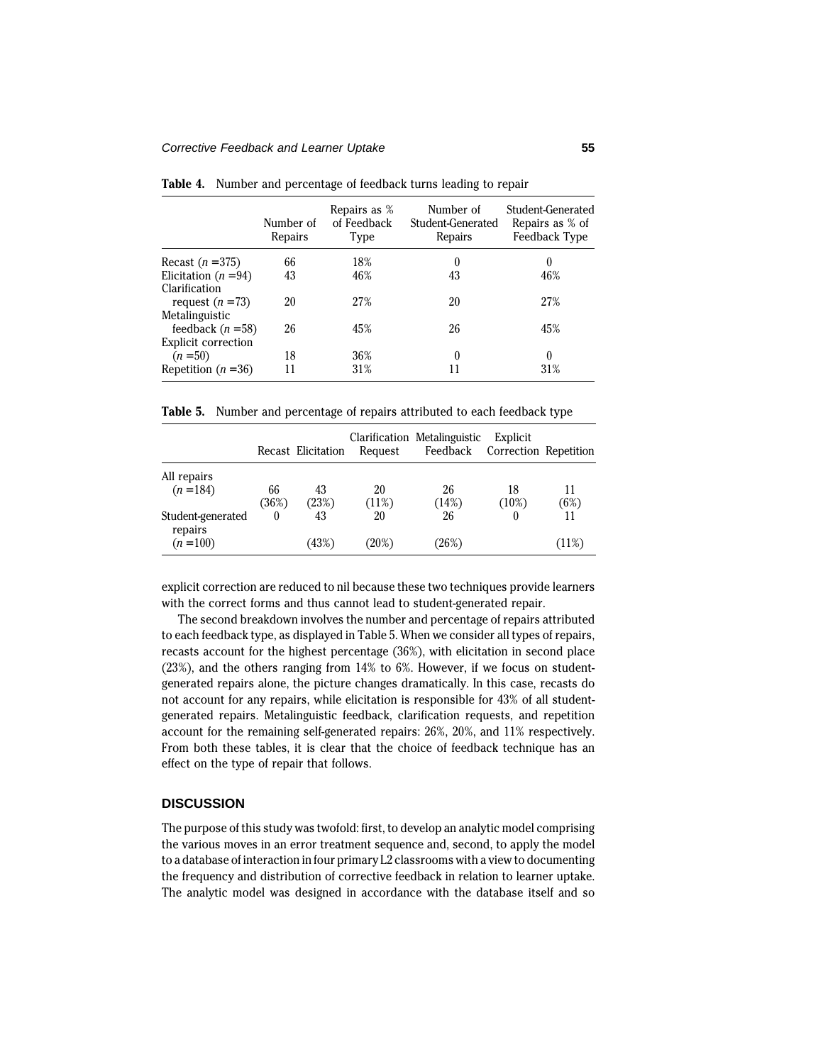|                          | Number of<br>Repairs | Repairs as %<br>of Feedback<br>Type | Number of<br>Student-Generated<br>Repairs | Student-Generated<br>Repairs as % of<br>Feedback Type |
|--------------------------|----------------------|-------------------------------------|-------------------------------------------|-------------------------------------------------------|
| Recast $(n=375)$         | 66                   | 18%                                 | 0                                         | 0                                                     |
| Elicitation ( $n = 94$ ) | 43                   | 46%                                 | 43                                        | 46%                                                   |
| Clarification            |                      |                                     |                                           |                                                       |
| request $(n=73)$         | 20                   | 27%                                 | 20                                        | 27%                                                   |
| Metalinguistic           |                      |                                     |                                           |                                                       |
| feedback $(n = 58)$      | 26                   | 45%                                 | 26                                        | 45%                                                   |
| Explicit correction      |                      |                                     |                                           |                                                       |
| $(n = 50)$               | 18                   | 36%                                 | $\theta$                                  | $\theta$                                              |
| Repetition $(n=36)$      | 11                   | 31%                                 | 11                                        | 31%                                                   |

**Table 4.** Number and percentage of feedback turns leading to repair

**Table 5.** Number and percentage of repairs attributed to each feedback type

|                              |             | Recast Elicitation | Request     | Clarification Metalinguistic<br>Feedback | Explicit<br>Correction Repetition |            |
|------------------------------|-------------|--------------------|-------------|------------------------------------------|-----------------------------------|------------|
| All repairs                  |             |                    |             |                                          |                                   |            |
| $(n = 184)$                  | 66<br>(36%) | 43<br>(23%)        | 20<br>(11%) | 26<br>(14%)                              | 18<br>$(10\%)$                    | 11<br>(6%) |
| Student-generated<br>repairs | $\theta$    | 43                 | 20          | 26                                       |                                   |            |
| $(n = 100)$                  |             | (43%)              | (20%)       | (26%)                                    |                                   | (11%)      |

explicit correction are reduced to nil because these two techniques provide learners with the correct forms and thus cannot lead to student-generated repair.

The second breakdown involves the number and percentage of repairs attributed to each feedback type, as displayed in Table 5. When we consider all types of repairs, recasts account for the highest percentage (36%), with elicitation in second place (23%), and the others ranging from 14% to 6%. However, if we focus on studentgenerated repairs alone, the picture changes dramatically. In this case, recasts do not account for any repairs, while elicitation is responsible for 43% of all studentgenerated repairs. Metalinguistic feedback, clarification requests, and repetition account for the remaining self-generated repairs: 26%, 20%, and 11% respectively. From both these tables, it is clear that the choice of feedback technique has an effect on the type of repair that follows.

### **DISCUSSION**

The purpose of this study was twofold: first, to develop an analytic model comprising the various moves in an error treatment sequence and, second, to apply the model to a database of interaction in four primary L2 classrooms with a view to documenting the frequency and distribution of corrective feedback in relation to learner uptake. The analytic model was designed in accordance with the database itself and so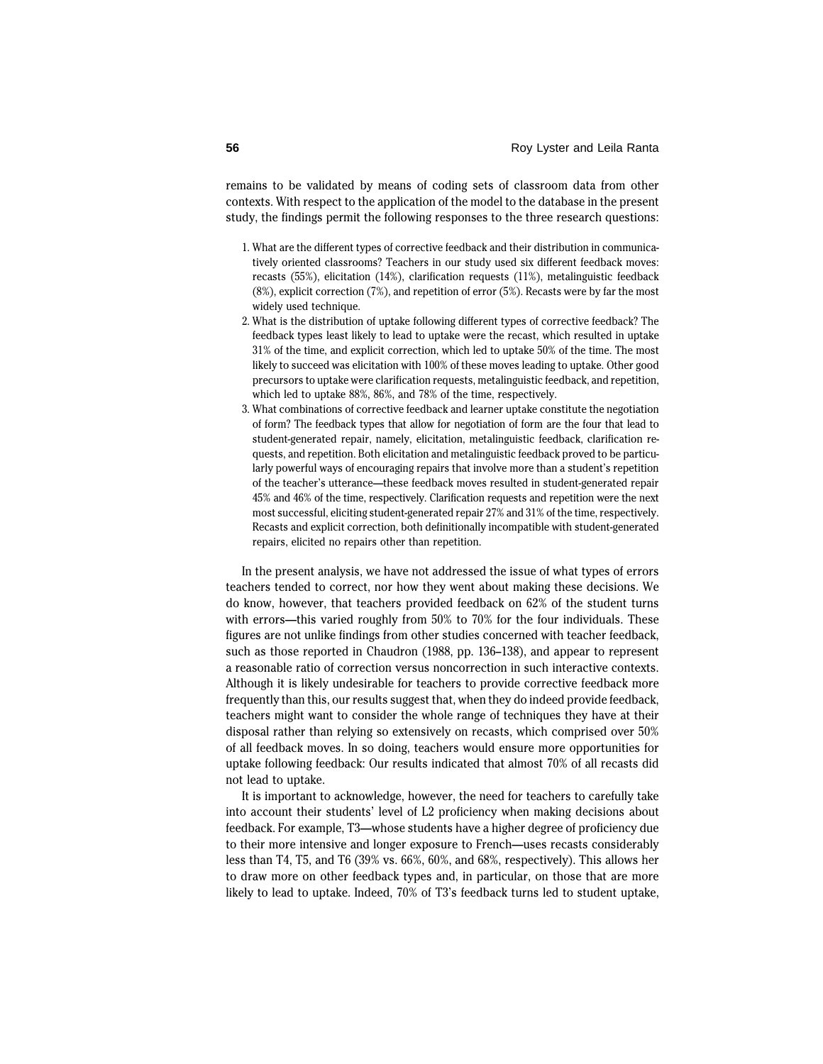remains to be validated by means of coding sets of classroom data from other contexts. With respect to the application of the model to the database in the present study, the findings permit the following responses to the three research questions:

- 1. What are the different types of corrective feedback and their distribution in communicatively oriented classrooms? Teachers in our study used six different feedback moves: recasts (55%), elicitation (14%), clarification requests (11%), metalinguistic feedback (8%), explicit correction (7%), and repetition of error (5%). Recasts were by far the most widely used technique.
- 2. What is the distribution of uptake following different types of corrective feedback? The feedback types least likely to lead to uptake were the recast, which resulted in uptake 31% of the time, and explicit correction, which led to uptake 50% of the time. The most likely to succeed was elicitation with 100% of these moves leading to uptake. Other good precursors to uptake were clarification requests, metalinguistic feedback, and repetition, which led to uptake 88%, 86%, and 78% of the time, respectively.
- 3. What combinations of corrective feedback and learner uptake constitute the negotiation of form? The feedback types that allow for negotiation of form are the four that lead to student-generated repair, namely, elicitation, metalinguistic feedback, clarification requests, and repetition. Both elicitation and metalinguistic feedback proved to be particularly powerful ways of encouraging repairs that involve more than a student's repetition of the teacher's utterance—these feedback moves resulted in student-generated repair 45% and 46% of the time, respectively. Clarification requests and repetition were the next most successful, eliciting student-generated repair 27% and 31% of the time, respectively. Recasts and explicit correction, both definitionally incompatible with student-generated repairs, elicited no repairs other than repetition.

In the present analysis, we have not addressed the issue of what types of errors teachers tended to correct, nor how they went about making these decisions. We do know, however, that teachers provided feedback on 62% of the student turns with errors—this varied roughly from 50% to 70% for the four individuals. These figures are not unlike findings from other studies concerned with teacher feedback, such as those reported in Chaudron (1988, pp. 136–138), and appear to represent a reasonable ratio of correction versus noncorrection in such interactive contexts. Although it is likely undesirable for teachers to provide corrective feedback more frequently than this, our results suggest that, when they do indeed provide feedback, teachers might want to consider the whole range of techniques they have at their disposal rather than relying so extensively on recasts, which comprised over 50% of all feedback moves. In so doing, teachers would ensure more opportunities for uptake following feedback: Our results indicated that almost 70% of all recasts did not lead to uptake.

It is important to acknowledge, however, the need for teachers to carefully take into account their students' level of L2 proficiency when making decisions about feedback. For example, T3—whose students have a higher degree of proficiency due to their more intensive and longer exposure to French—uses recasts considerably less than T4, T5, and T6 (39% vs. 66%, 60%, and 68%, respectively). This allows her to draw more on other feedback types and, in particular, on those that are more likely to lead to uptake. Indeed, 70% of T3's feedback turns led to student uptake,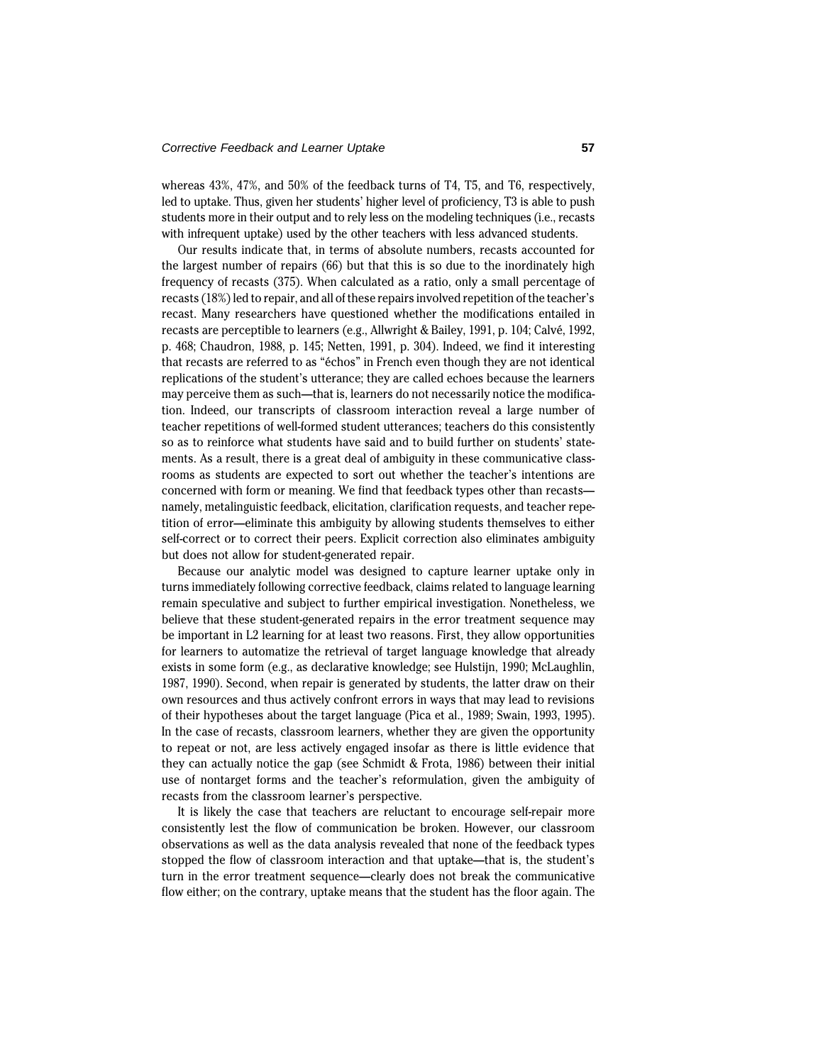whereas 43%, 47%, and 50% of the feedback turns of T4, T5, and T6, respectively, led to uptake. Thus, given her students' higher level of proficiency, T3 is able to push students more in their output and to rely less on the modeling techniques (i.e., recasts with infrequent uptake) used by the other teachers with less advanced students.

Our results indicate that, in terms of absolute numbers, recasts accounted for the largest number of repairs (66) but that this is so due to the inordinately high frequency of recasts (375). When calculated as a ratio, only a small percentage of recasts (18%) led to repair, and all of these repairs involved repetition of the teacher's recast. Many researchers have questioned whether the modifications entailed in recasts are perceptible to learners (e.g., Allwright & Bailey, 1991, p. 104; Calvé, 1992, p. 468; Chaudron, 1988, p. 145; Netten, 1991, p. 304). Indeed, we find it interesting that recasts are referred to as "échos" in French even though they are not identical replications of the student's utterance; they are called echoes because the learners may perceive them as such—that is, learners do not necessarily notice the modification. Indeed, our transcripts of classroom interaction reveal a large number of teacher repetitions of well-formed student utterances; teachers do this consistently so as to reinforce what students have said and to build further on students' statements. As a result, there is a great deal of ambiguity in these communicative classrooms as students are expected to sort out whether the teacher's intentions are concerned with form or meaning. We find that feedback types other than recasts namely, metalinguistic feedback, elicitation, clarification requests, and teacher repetition of error—eliminate this ambiguity by allowing students themselves to either self-correct or to correct their peers. Explicit correction also eliminates ambiguity but does not allow for student-generated repair.

Because our analytic model was designed to capture learner uptake only in turns immediately following corrective feedback, claims related to language learning remain speculative and subject to further empirical investigation. Nonetheless, we believe that these student-generated repairs in the error treatment sequence may be important in L2 learning for at least two reasons. First, they allow opportunities for learners to automatize the retrieval of target language knowledge that already exists in some form (e.g., as declarative knowledge; see Hulstijn, 1990; McLaughlin, 1987, 1990). Second, when repair is generated by students, the latter draw on their own resources and thus actively confront errors in ways that may lead to revisions of their hypotheses about the target language (Pica et al., 1989; Swain, 1993, 1995). In the case of recasts, classroom learners, whether they are given the opportunity to repeat or not, are less actively engaged insofar as there is little evidence that they can actually notice the gap (see Schmidt & Frota, 1986) between their initial use of nontarget forms and the teacher's reformulation, given the ambiguity of recasts from the classroom learner's perspective.

It is likely the case that teachers are reluctant to encourage self-repair more consistently lest the flow of communication be broken. However, our classroom observations as well as the data analysis revealed that none of the feedback types stopped the flow of classroom interaction and that uptake—that is, the student's turn in the error treatment sequence—clearly does not break the communicative flow either; on the contrary, uptake means that the student has the floor again. The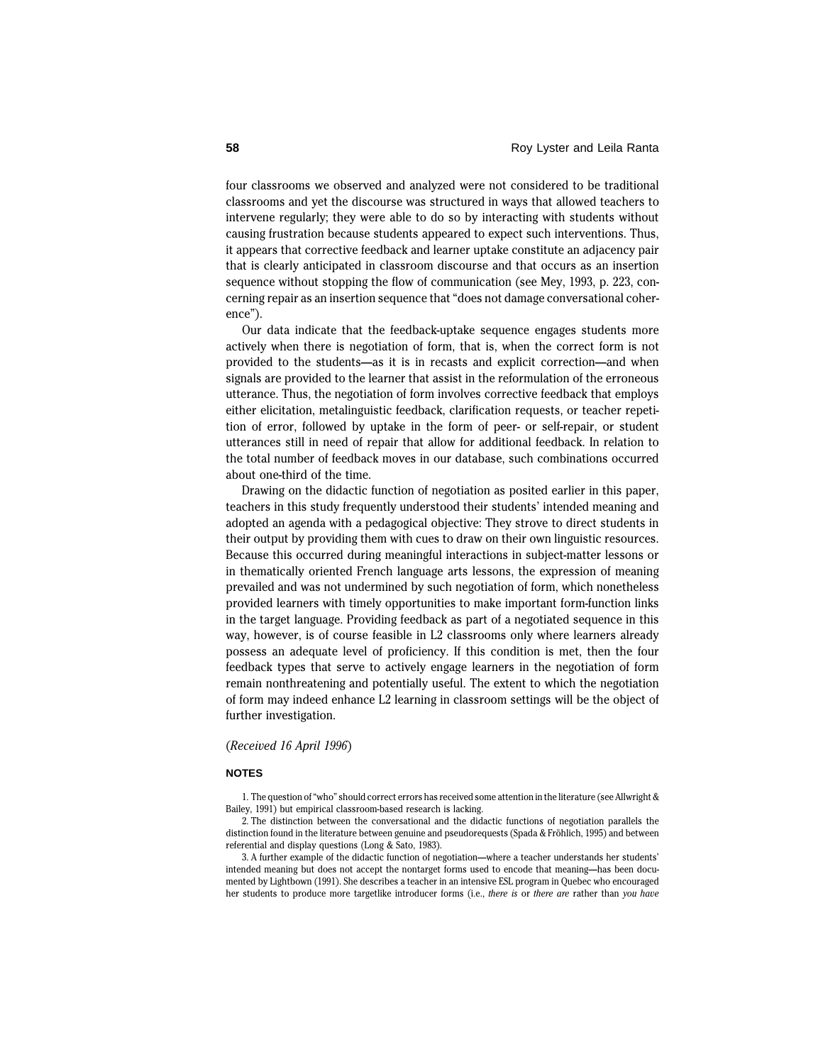four classrooms we observed and analyzed were not considered to be traditional classrooms and yet the discourse was structured in ways that allowed teachers to intervene regularly; they were able to do so by interacting with students without causing frustration because students appeared to expect such interventions. Thus, it appears that corrective feedback and learner uptake constitute an adjacency pair that is clearly anticipated in classroom discourse and that occurs as an insertion sequence without stopping the flow of communication (see Mey, 1993, p. 223, concerning repair as an insertion sequence that "does not damage conversational coherence").

Our data indicate that the feedback-uptake sequence engages students more actively when there is negotiation of form, that is, when the correct form is not provided to the students—as it is in recasts and explicit correction—and when signals are provided to the learner that assist in the reformulation of the erroneous utterance. Thus, the negotiation of form involves corrective feedback that employs either elicitation, metalinguistic feedback, clarification requests, or teacher repetition of error, followed by uptake in the form of peer- or self-repair, or student utterances still in need of repair that allow for additional feedback. In relation to the total number of feedback moves in our database, such combinations occurred about one-third of the time.

Drawing on the didactic function of negotiation as posited earlier in this paper, teachers in this study frequently understood their students' intended meaning and adopted an agenda with a pedagogical objective: They strove to direct students in their output by providing them with cues to draw on their own linguistic resources. Because this occurred during meaningful interactions in subject-matter lessons or in thematically oriented French language arts lessons, the expression of meaning prevailed and was not undermined by such negotiation of form, which nonetheless provided learners with timely opportunities to make important form-function links in the target language. Providing feedback as part of a negotiated sequence in this way, however, is of course feasible in L2 classrooms only where learners already possess an adequate level of proficiency. If this condition is met, then the four feedback types that serve to actively engage learners in the negotiation of form remain nonthreatening and potentially useful. The extent to which the negotiation of form may indeed enhance L2 learning in classroom settings will be the object of further investigation.

(*Received 16 April 1996*)

#### **NOTES**

1. The question of "who" should correct errors has received some attention in the literature (see Allwright & Bailey, 1991) but empirical classroom-based research is lacking.

2. The distinction between the conversational and the didactic functions of negotiation parallels the distinction found in the literature between genuine and pseudorequests (Spada & Fröhlich, 1995) and between referential and display questions (Long & Sato, 1983).

3. A further example of the didactic function of negotiation—where a teacher understands her students' intended meaning but does not accept the nontarget forms used to encode that meaning—has been documented by Lightbown (1991). She describes a teacher in an intensive ESL program in Quebec who encouraged her students to produce more targetlike introducer forms (i.e., *there is* or *there are* rather than *you have*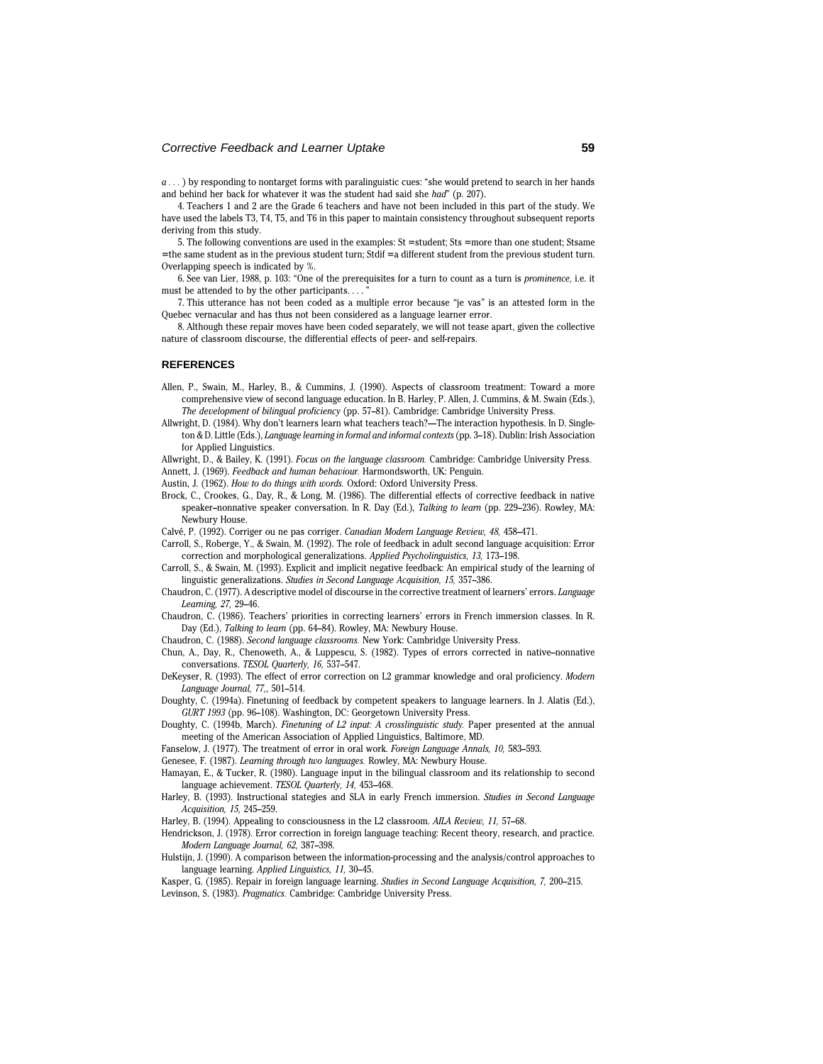*a...* ) by responding to nontarget forms with paralinguistic cues: "she would pretend to search in her hands and behind her back for whatever it was the student had said she *had*" (p. 207).

4. Teachers 1 and 2 are the Grade 6 teachers and have not been included in this part of the study. We have used the labels T3, T4, T5, and T6 in this paper to maintain consistency throughout subsequent reports deriving from this study.

5. The following conventions are used in the examples:  $St = student$ : Sts = more than one student: Stsame = the same student as in the previous student turn; Stdif = a different student from the previous student turn. Overlapping speech is indicated by %.

6. See van Lier, 1988, p. 103: "One of the prerequisites for a turn to count as a turn is *prominence,* i.e. it must be attended to by the other participants....

7. This utterance has not been coded as a multiple error because "je vas" is an attested form in the Quebec vernacular and has thus not been considered as a language learner error.

8. Although these repair moves have been coded separately, we will not tease apart, given the collective nature of classroom discourse, the differential effects of peer- and self-repairs.

#### **REFERENCES**

- Allen, P., Swain, M., Harley, B., & Cummins, J. (1990). Aspects of classroom treatment: Toward a more comprehensive view of second language education. In B. Harley, P. Allen, J. Cummins, & M. Swain (Eds.), *The development of bilingual proficiency* (pp. 57–81). Cambridge: Cambridge University Press.
- Allwright, D. (1984). Why don't learners learn what teachers teach?—The interaction hypothesis. In D. Singleton & D. Little (Eds.), *Language learning in formal and informal contexts* (pp. 3–18). Dublin: Irish Association for Applied Linguistics.

Allwright, D., & Bailey, K. (1991). *Focus on the language classroom.* Cambridge: Cambridge University Press. Annett, J. (1969). *Feedback and human behaviour.* Harmondsworth, UK: Penguin.

Austin, J. (1962). *How to do things with words.* Oxford: Oxford University Press.

Brock, C., Crookes, G., Day, R., & Long, M. (1986). The differential effects of corrective feedback in native speaker–nonnative speaker conversation. In R. Day (Ed.), *Talking to learn* (pp. 229–236). Rowley, MA: Newbury House.

Calve´, P. (1992). Corriger ou ne pas corriger. *Canadian Modern Language Review, 48,* 458–471.

Carroll, S., Roberge, Y., & Swain, M. (1992). The role of feedback in adult second language acquisition: Error correction and morphological generalizations. *Applied Psycholinguistics, 13,* 173–198.

Carroll, S., & Swain, M. (1993). Explicit and implicit negative feedback: An empirical study of the learning of linguistic generalizations. *Studies in Second Language Acquisition, 15,* 357–386.

Chaudron, C. (1977). A descriptive model of discourse in the corrective treatment of learners' errors. *Language Learning, 27,* 29–46.

Chaudron, C. (1986). Teachers' priorities in correcting learners' errors in French immersion classes. In R. Day (Ed.), *Talking to learn* (pp. 64–84). Rowley, MA: Newbury House.

Chaudron, C. (1988). *Second language classrooms.* New York: Cambridge University Press.

Chun, A., Day, R., Chenoweth, A., & Luppescu, S. (1982). Types of errors corrected in native–nonnative conversations. *TESOL Quarterly, 16,* 537–547.

DeKeyser, R. (1993). The effect of error correction on L2 grammar knowledge and oral proficiency. *Modern Language Journal, 77,*, 501–514.

Doughty, C. (1994a). Finetuning of feedback by competent speakers to language learners. In J. Alatis (Ed.), *GURT 1993* (pp. 96–108). Washington, DC: Georgetown University Press.

Doughty, C. (1994b, March). *Finetuning of L2 input: A crosslinguistic study.* Paper presented at the annual meeting of the American Association of Applied Linguistics, Baltimore, MD.

Fanselow, J. (1977). The treatment of error in oral work. *Foreign Language Annals, 10,* 583–593.

Genesee, F. (1987). *Learning through two languages.* Rowley, MA: Newbury House.

Hamayan, E., & Tucker, R. (1980). Language input in the bilingual classroom and its relationship to second language achievement. *TESOL Quarterly, 14,* 453–468.

Harley, B. (1993). Instructional stategies and SLA in early French immersion. *Studies in Second Language Acquisition, 15,* 245–259.

Harley, B. (1994). Appealing to consciousness in the L2 classroom. *AILA Review, 11,* 57–68.

Hendrickson, J. (1978). Error correction in foreign language teaching: Recent theory, research, and practice. *Modern Language Journal, 62,* 387–398.

Hulstijn, J. (1990). A comparison between the information-processing and the analysis/control approaches to language learning. *Applied Linguistics, 11,* 30–45.

Kasper, G. (1985). Repair in foreign language learning. *Studies in Second Language Acquisition, 7,* 200–215. Levinson, S. (1983). *Pragmatics.* Cambridge: Cambridge University Press.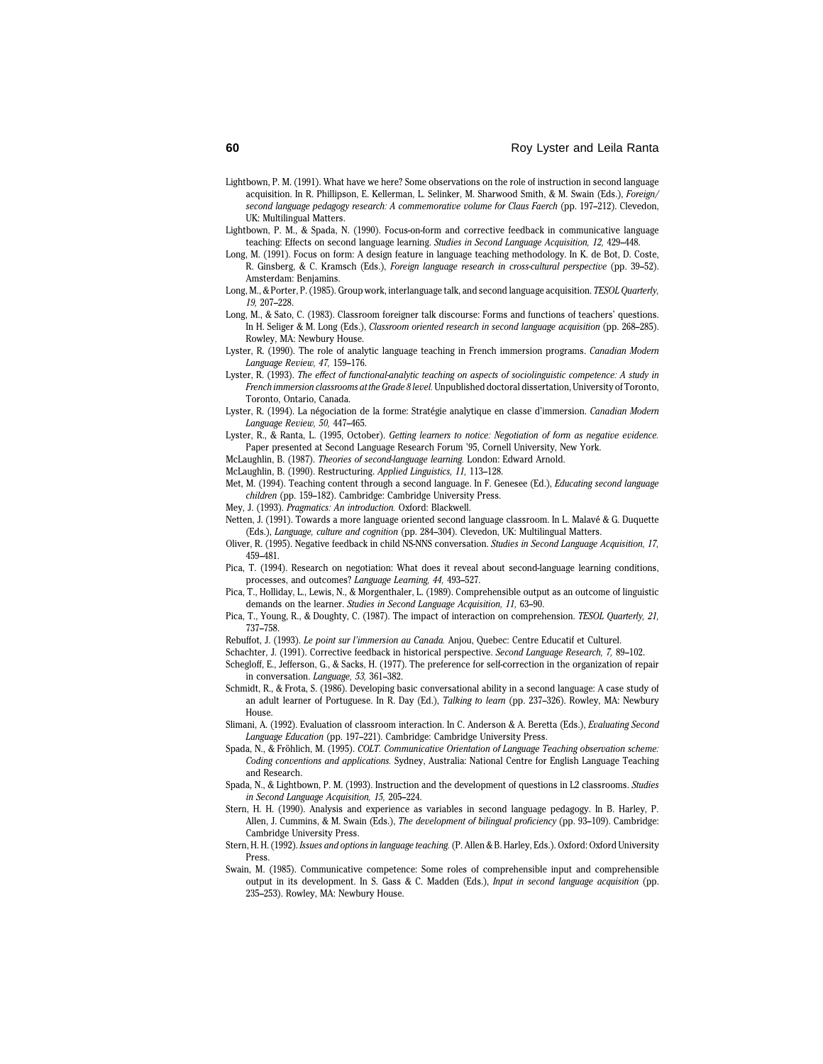#### **60 60 Roy Lyster and Leila Ranta**

- Lightbown, P. M. (1991). What have we here? Some observations on the role of instruction in second language acquisition. In R. Phillipson, E. Kellerman, L. Selinker, M. Sharwood Smith, & M. Swain (Eds.), *Foreign/ second language pedagogy research: A commemorative volume for Claus Faerch* (pp. 197–212). Clevedon, UK: Multilingual Matters.
- Lightbown, P. M., & Spada, N. (1990). Focus-on-form and corrective feedback in communicative language teaching: Effects on second language learning. *Studies in Second Language Acquisition, 12,* 429–448.
- Long, M. (1991). Focus on form: A design feature in language teaching methodology. In K. de Bot, D. Coste, R. Ginsberg, & C. Kramsch (Eds.), *Foreign language research in cross-cultural perspective* (pp. 39–52). Amsterdam: Benjamins.
- Long, M., & Porter, P. (1985). Group work, interlanguage talk, and second language acquisition. *TESOL Quarterly, 19,* 207–228.
- Long, M., & Sato, C. (1983). Classroom foreigner talk discourse: Forms and functions of teachers' questions. In H. Seliger & M. Long (Eds.), *Classroom oriented research in second language acquisition* (pp. 268–285). Rowley, MA: Newbury House.
- Lyster, R. (1990). The role of analytic language teaching in French immersion programs. *Canadian Modern Language Review, 47,* 159–176.
- Lyster, R. (1993). *The effect of functional-analytic teaching on aspects of sociolinguistic competence: A study in French immersion classrooms at the Grade 8 level.*Unpublished doctoral dissertation, University of Toronto, Toronto, Ontario, Canada.
- Lyster, R. (1994). La négociation de la forme: Stratégie analytique en classe d'immersion. *Canadian Modern Language Review, 50,* 447–465.
- Lyster, R., & Ranta, L. (1995, October). *Getting learners to notice: Negotiation of form as negative evidence.* Paper presented at Second Language Research Forum '95, Cornell University, New York.
- McLaughlin, B. (1987). *Theories of second-language learning.* London: Edward Arnold.
- McLaughlin, B. (1990). Restructuring. *Applied Linguistics, 11,* 113–128.
- Met, M. (1994). Teaching content through a second language. In F. Genesee (Ed.), *Educating second language children* (pp. 159–182). Cambridge: Cambridge University Press.
- Mey, J. (1993). *Pragmatics: An introduction.* Oxford: Blackwell.

Netten, J. (1991). Towards a more language oriented second language classroom. In L. Malavé & G. Duquette (Eds.), *Language, culture and cognition* (pp. 284–304). Clevedon, UK: Multilingual Matters.

- Oliver, R. (1995). Negative feedback in child NS-NNS conversation. *Studies in Second Language Acquisition, 17,* 459–481.
- Pica, T. (1994). Research on negotiation: What does it reveal about second-language learning conditions, processes, and outcomes? *Language Learning, 44,* 493–527.
- Pica, T., Holliday, L., Lewis, N., & Morgenthaler, L. (1989). Comprehensible output as an outcome of linguistic demands on the learner. *Studies in Second Language Acquisition, 11,* 63–90.
- Pica, T., Young, R., & Doughty, C. (1987). The impact of interaction on comprehension. *TESOL Quarterly, 21,* 737–758.
- Rebuffot, J. (1993). *Le point sur l'immersion au Canada.* Anjou, Quebec: Centre Educatif et Culturel.
- Schachter, J. (1991). Corrective feedback in historical perspective. *Second Language Research, 7,* 89–102.
- Schegloff, E., Jefferson, G., & Sacks, H. (1977). The preference for self-correction in the organization of repair in conversation. *Language, 53,* 361–382.
- Schmidt, R., & Frota, S. (1986). Developing basic conversational ability in a second language: A case study of an adult learner of Portuguese. In R. Day (Ed.), *Talking to learn* (pp. 237–326). Rowley, MA: Newbury House.
- Slimani, A. (1992). Evaluation of classroom interaction. In C. Anderson & A. Beretta (Eds.), *Evaluating Second Language Education* (pp. 197–221). Cambridge: Cambridge University Press.
- Spada, N., & Fröhlich, M. (1995). *COLT. Communicative Orientation of Language Teaching observation scheme: Coding conventions and applications.* Sydney, Australia: National Centre for English Language Teaching and Research.
- Spada, N., & Lightbown, P. M. (1993). Instruction and the development of questions in L2 classrooms. *Studies in Second Language Acquisition, 15,* 205–224.
- Stern, H. H. (1990). Analysis and experience as variables in second language pedagogy. In B. Harley, P. Allen, J. Cummins, & M. Swain (Eds.), *The development of bilingual proficiency* (pp. 93–109). Cambridge: Cambridge University Press.
- Stern, H. H. (1992). *Issues and options in language teaching.* (P. Allen & B. Harley, Eds.). Oxford: Oxford University Press.
- Swain, M. (1985). Communicative competence: Some roles of comprehensible input and comprehensible output in its development. In S. Gass & C. Madden (Eds.), *Input in second language acquisition* (pp. 235–253). Rowley, MA: Newbury House.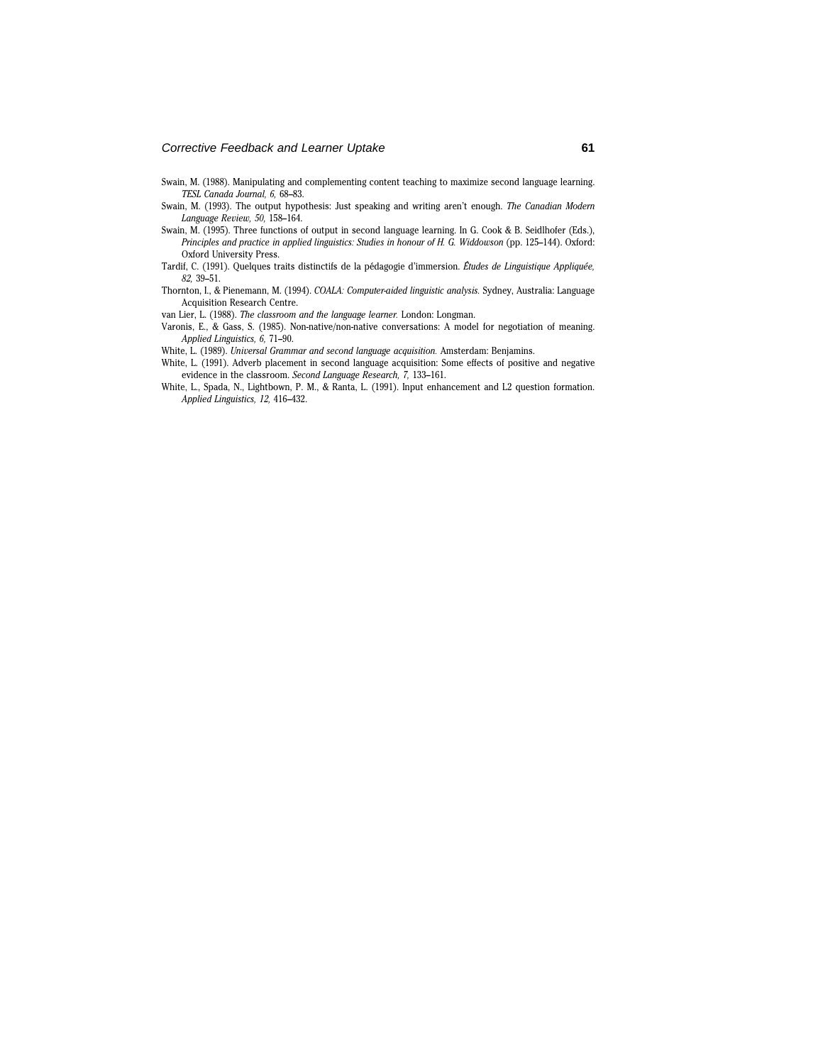- Swain, M. (1988). Manipulating and complementing content teaching to maximize second language learning. *TESL Canada Journal, 6,* 68–83.
- Swain, M. (1993). The output hypothesis: Just speaking and writing aren't enough. *The Canadian Modern Language Review, 50,* 158–164.
- Swain, M. (1995). Three functions of output in second language learning. In G. Cook & B. Seidlhofer (Eds.), *Principles and practice in applied linguistics: Studies in honour of H. G. Widdowson* (pp. 125–144). Oxford: Oxford University Press.
- Tardif, C. (1991). Quelques traits distinctifs de la pédagogie d'immersion. Études de Linguistique Appliquée, *82,* 39–51.
- Thornton, I., & Pienemann, M. (1994). *COALA: Computer-aided linguistic analysis.* Sydney, Australia: Language Acquisition Research Centre.

van Lier, L. (1988). *The classroom and the language learner.* London: Longman.

- Varonis, E., & Gass, S. (1985). Non-native/non-native conversations: A model for negotiation of meaning. *Applied Linguistics, 6,* 71–90.
- White, L. (1989). *Universal Grammar and second language acquisition.* Amsterdam: Benjamins. White, L. (1991). Adverb placement in second language acquisition: Some effects of positive and negative

evidence in the classroom. *Second Language Research, 7,* 133–161.

White, L., Spada, N., Lightbown, P. M., & Ranta, L. (1991). Input enhancement and L2 question formation. *Applied Linguistics, 12,* 416–432.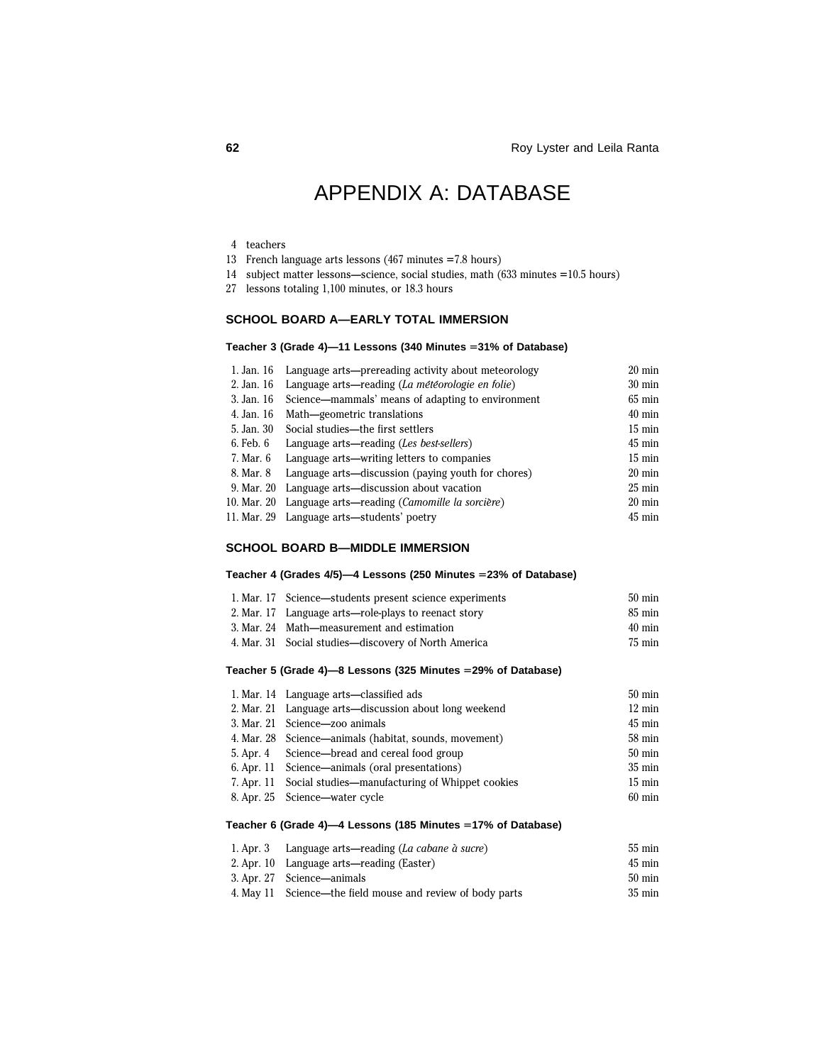# APPENDIX A: DATABASE

- 4 teachers
- 13 French language arts lessons (467 minutes = 7.8 hours)
- 14 subject matter lessons—science, social studies, math (633 minutes = 10.5 hours)
- 27 lessons totaling 1,100 minutes, or 18.3 hours

## **SCHOOL BOARD A—EARLY TOTAL IMMERSION**

# **Teacher 3 (Grade 4)—11 Lessons (340 Minutes** = **31% of Database)**

| 1. Jan. 16  | Language arts—prereading activity about meteorology | $20 \text{ min}$ |
|-------------|-----------------------------------------------------|------------------|
| 2. Jan. 16  | Language arts—reading (La météorologie en folie)    | $30 \text{ min}$ |
| 3. Jan. 16  | Science—mammals' means of adapting to environment   | $65 \text{ min}$ |
| 4. Jan. 16  | Math-geometric translations                         | $40 \text{ min}$ |
| 5. Jan. 30  | Social studies—the first settlers                   | $15 \text{ min}$ |
| 6. Feb. 6   | Language arts—reading (Les best-sellers)            | $45 \text{ min}$ |
| 7. Mar. 6   | Language arts—writing letters to companies          | $15 \text{ min}$ |
| 8. Mar. 8   | Language arts—discussion (paying youth for chores)  | $20 \text{ min}$ |
| 9. Mar. 20  | Language arts—discussion about vacation             | $25 \text{ min}$ |
| 10. Mar. 20 | Language arts—reading (Camomille la sorcière)       | $20 \text{ min}$ |
|             | 11. Mar. 29 Language arts—students' poetry          | $45 \text{ min}$ |

# **SCHOOL BOARD B—MIDDLE IMMERSION**

#### **Teacher 4 (Grades 4/5)—4 Lessons (250 Minutes** = **23% of Database)**

| 1. Mar. 17 Science—students present science experiments | $50 \text{ min}$ |
|---------------------------------------------------------|------------------|
| 2. Mar. 17 Language arts—role-plays to reenact story    | 85 min           |
| 3. Mar. 24 Math—measurement and estimation              | $40 \text{ min}$ |
| 4. Mar. 31 Social studies—discovery of North America    | $75 \text{ min}$ |

### **Teacher 5 (Grade 4)—8 Lessons (325 Minutes** = **29% of Database)**

| 1. Mar. 14 Language arts—classified ads                    | $50 \text{ min}$ |
|------------------------------------------------------------|------------------|
| 2. Mar. 21 Language arts—discussion about long weekend     | $12 \text{ min}$ |
| 3. Mar. 21 Science—zoo animals                             | $45 \text{ min}$ |
| 4. Mar. 28 Science—animals (habitat, sounds, movement)     | 58 min           |
| 5. Apr. 4 Science—bread and cereal food group              | $50 \text{ min}$ |
| 6. Apr. 11 Science—animals (oral presentations)            | $35 \text{ min}$ |
| 7. Apr. 11 Social studies—manufacturing of Whippet cookies | $15 \text{ min}$ |
| 8. Apr. 25 Science—water cycle                             | $60 \text{ min}$ |

#### **Teacher 6 (Grade 4)—4 Lessons (185 Minutes** = **17% of Database)**

| 1. Apr. 3 Language arts—reading $(La \text{ cabane } \hat{a} \text{ sure})$ | $55 \text{ min}$ |
|-----------------------------------------------------------------------------|------------------|
| 2. Apr. 10 Language arts—reading (Easter)                                   | $45 \text{ min}$ |
| 3. Apr. 27 Science—animals                                                  | $50 \text{ min}$ |
| 4. May 11 Science—the field mouse and review of body parts                  | $35 \text{ min}$ |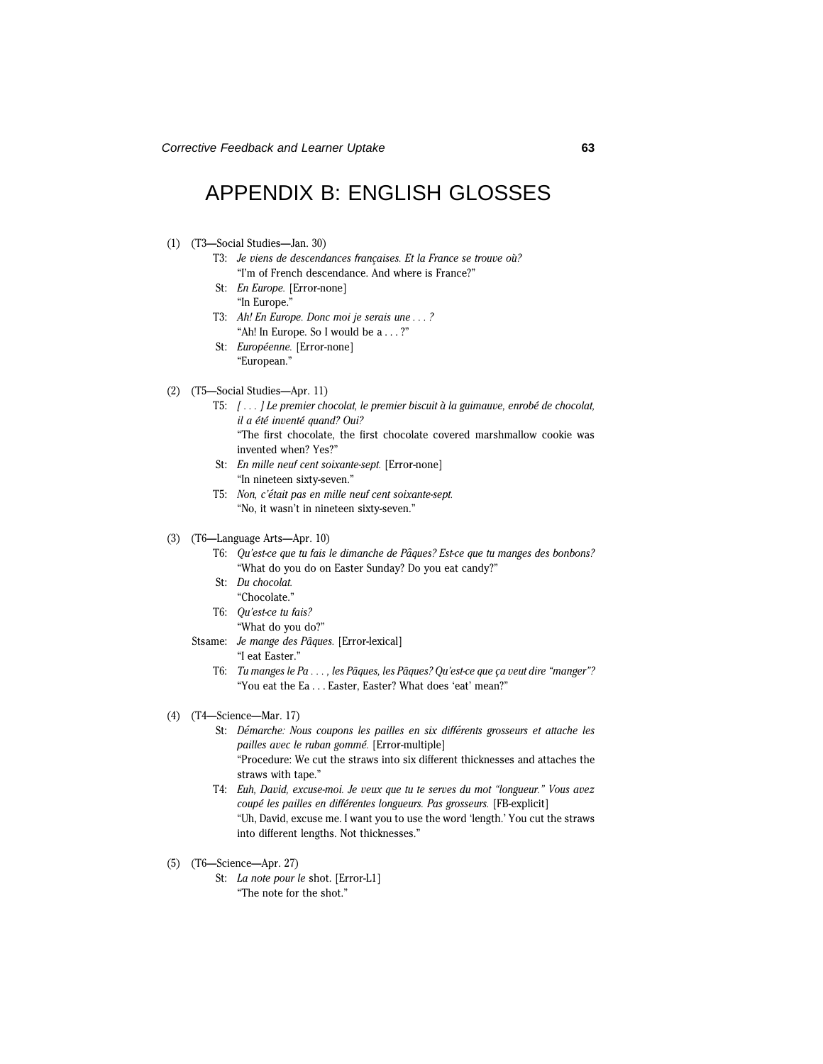# APPENDIX B: ENGLISH GLOSSES

#### (1) (T3—Social Studies—Jan. 30)

- T3: *Je viens de descendances françaises. Et la France se trouve où?* "I'm of French descendance. And where is France?"
- St: *En Europe.* [Error-none] "In Europe."
- T3: *Ah! En Europe. Donc moi je serais une...?* "Ah! In Europe. So I would be a . . . ?"
- St: *Européenne*. [Error-none]
	- "European."

# (2) (T5—Social Studies—Apr. 11)

T5: *[ . . . ] Le premier chocolat, le premier biscuit a` la guimauve, enrobe´ de chocolat, il a e´te´ invente´ quand? Oui?*

"The first chocolate, the first chocolate covered marshmallow cookie was invented when? Yes?"

- St: *En mille neuf cent soixante-sept.* [Error-none] "In nineteen sixty-seven."
- T5: *Non, c'e´tait pas en mille neuf cent soixante-sept.* "No, it wasn't in nineteen sixty-seven."

#### (3) (T6—Language Arts—Apr. 10)

- T6: *Qu'est-ce que tu fais le dimanche de Paˆques? Est-ce que tu manges des bonbons?* "What do you do on Easter Sunday? Do you eat candy?"
- St: *Du chocolat.* "Chocolate."
- T6: *Qu'est-ce tu fais?* "What do you do?"
- Stsame: *Je mange des Pâques*. [Error-lexical]
	- "I eat Easter."
	- T6: *Tu manges le Pa ..., les Pâques, les Pâques? Qu'est-ce que ça veut dire "manger"?* "You eat the Ea... Easter, Easter? What does 'eat' mean?"
- (4) (T4—Science—Mar. 17)
	- St: Démarche: Nous coupons les pailles en six différents grosseurs et attache les *pailles avec le ruban gomme´.* [Error-multiple] "Procedure: We cut the straws into six different thicknesses and attaches the straws with tape."
	- T4: *Euh, David, excuse-moi. Je veux que tu te serves du mot "longueur." Vous avez coupe´ les pailles en diffe´rentes longueurs. Pas grosseurs.* [FB-explicit] "Uh, David, excuse me. I want you to use the word 'length.' You cut the straws into different lengths. Not thicknesses."
- (5) (T6—Science—Apr. 27)
	- St: *La note pour le* shot. [Error-L1] "The note for the shot."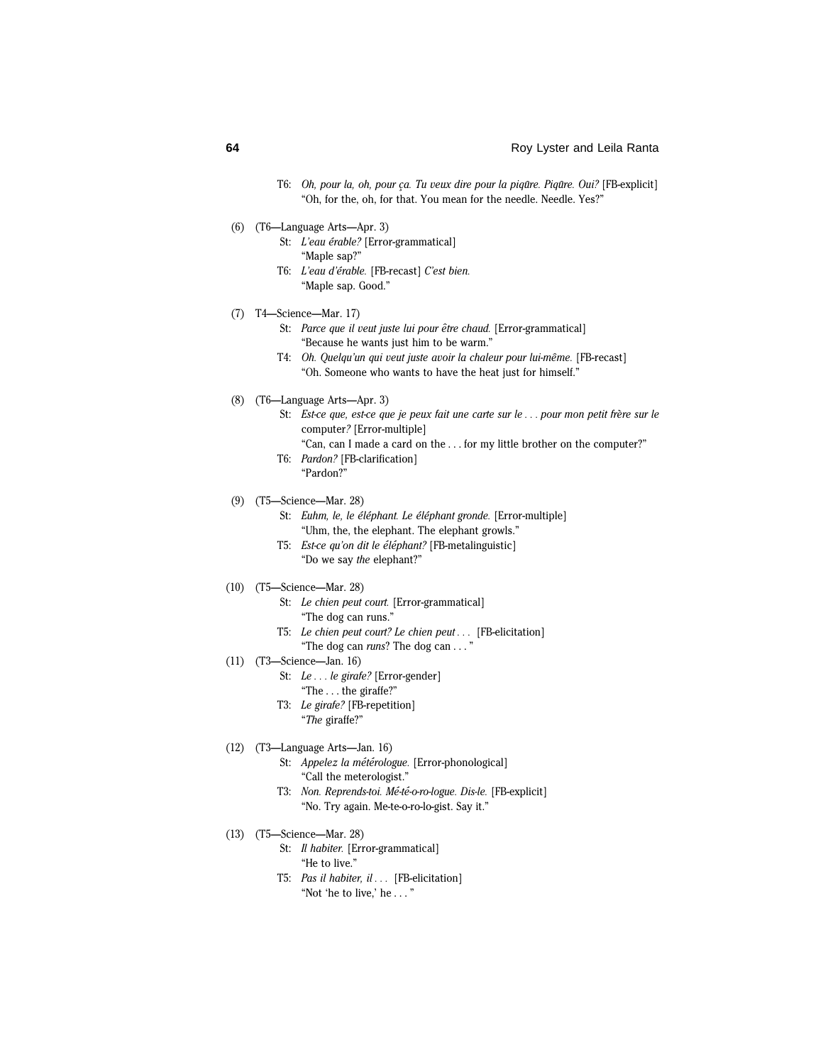- T6: *Oh, pour la, oh, pour ça. Tu veux dire pour la piqûre. Piqûre. Oui?* [FB-explicit] "Oh, for the, oh, for that. You mean for the needle. Needle. Yes?"
- (6) (T6—Language Arts—Apr. 3)
	- St: L'eau érable? [Error-grammatical] "Maple sap?"
	- T6: *L'eau d'e´rable.* [FB-recast] *C'est bien.* "Maple sap. Good."
- (7) T4—Science—Mar. 17)
	- St: Parce que il veut juste lui pour être chaud. [Error-grammatical] "Because he wants just him to be warm."
	- T4: Oh. Quelqu'un qui veut juste avoir la chaleur pour lui-même. [FB-recast] "Oh. Someone who wants to have the heat just for himself."
- (8) (T6—Language Arts—Apr. 3)
	- St: *Est-ce que, est-ce que je peux fait une carte sur le... pour mon petit frère sur le* computer*?* [Error-multiple]
	- "Can, can I made a card on the . . . for my little brother on the computer?"
	- T6: *Pardon?* [FB-clarification] "Pardon?"
- (9) (T5—Science—Mar. 28)
	- St: Euhm, le, le éléphant. Le éléphant gronde. [Error-multiple] "Uhm, the, the elephant. The elephant growls."
	- T5: *Est-ce qu'on dit le éléphant?* [FB-metalinguistic] "Do we say *the* elephant?"
- (10) (T5—Science—Mar. 28)
	- St: *Le chien peut court.* [Error-grammatical]
	- "The dog can runs."
	- T5: *Le chien peut court? Le chien peut...* [FB-elicitation]
		- "The dog can *runs*? The dog can . . . "
- (11) (T3—Science—Jan. 16)
	- St: *Le . . . le girafe?* [Error-gender]
	- "The . . . the giraffe?"
	- T3: *Le girafe?* [FB-repetition] "*The* giraffe?"
- (12) (T3—Language Arts—Jan. 16)
	- St: Appelez la métérologue. [Error-phonological]
	- "Call the meterologist."
	- T3: *Non. Reprends-toi. Me´-te´-o-ro-logue. Dis-le.* [FB-explicit] "No. Try again. Me-te-o-ro-lo-gist. Say it."
- (13) (T5—Science—Mar. 28)
	- St: *Il habiter.* [Error-grammatical] "He to live."
	- T5: *Pas il habiter, il...* [FB-elicitation] "Not 'he to live,' he..."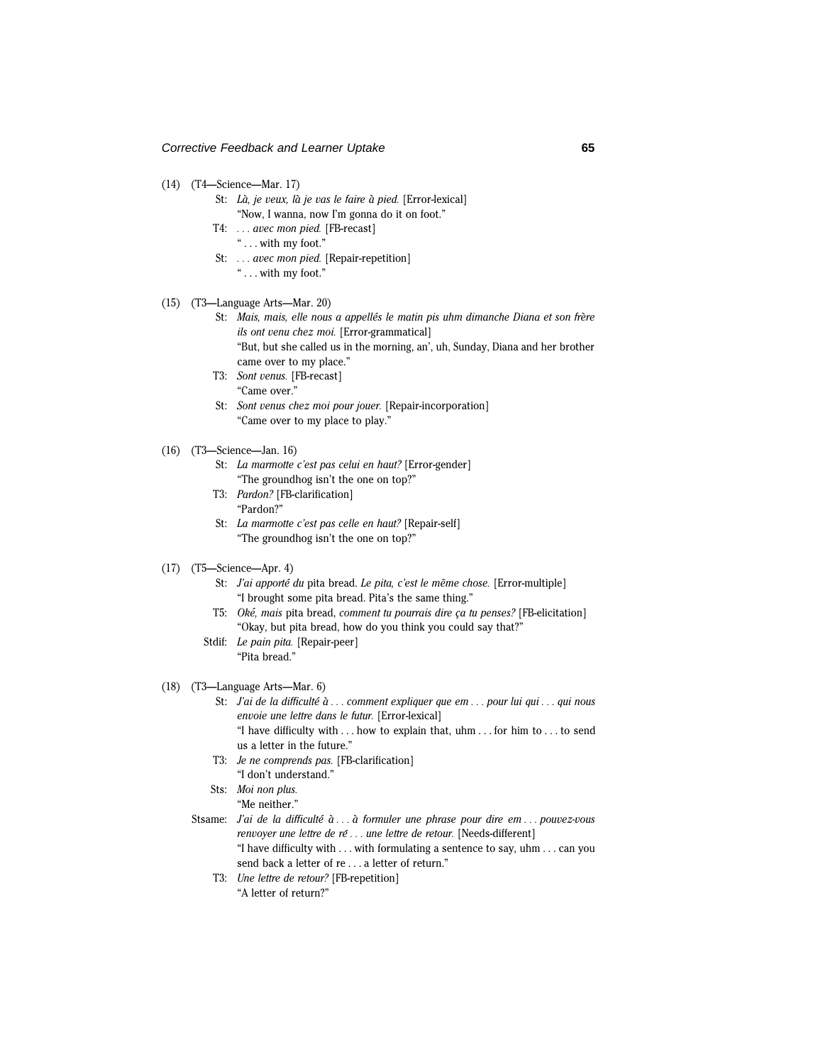- (14) (T4—Science—Mar. 17)
	- St: *La`, je veux, la` je vas le faire a` pied.* [Error-lexical] "Now, I wanna, now I'm gonna do it on foot."
	- T4: *. . . avec mon pied.* [FB-recast]
		- "... with my foot."
	- St: *. . . avec mon pied.* [Repair-repetition] "... with my foot."
- (15) (T3—Language Arts—Mar. 20)
	- St: Mais, mais, elle nous a appellés le matin pis uhm dimanche Diana et son frère *ils ont venu chez moi.* [Error-grammatical] "But, but she called us in the morning, an', uh, Sunday, Diana and her brother came over to my place."
	- T3: *Sont venus.* [FB-recast]
		- "Came over."
	- St: *Sont venus chez moi pour jouer.* [Repair-incorporation] "Came over to my place to play."
- (16) (T3—Science—Jan. 16)
	- St: *La marmotte c'est pas celui en haut?* [Error-gender] "The groundhog isn't the one on top?"
	- T3: *Pardon?* [FB-clarification] "Pardon?"
	- St: *La marmotte c'est pas celle en haut?* [Repair-self] "The groundhog isn't the one on top?"

## (17) (T5—Science—Apr. 4)

- St: *J'ai apporté du* pita bread. *Le pita, c'est le même chose*. [Error-multiple] "I brought some pita bread. Pita's the same thing."
- T5: Oké, mais pita bread, *comment tu pourrais dire ça tu penses?* [FB-elicitation] "Okay, but pita bread, how do you think you could say that?"
- Stdif: *Le pain pita.* [Repair-peer] "Pita bread."
- (18) (T3—Language Arts—Mar. 6)
	- St: *J'ai de la difficulte´ a` . . . comment expliquer que em... pour lui qui . . . qui nous envoie une lettre dans le futur.* [Error-lexical] "I have difficulty with . . . how to explain that, uhm . . . for him to . . . to send us a letter in the future."
	- T3: *Je ne comprends pas.* [FB-clarification] "I don't understand."
	- Sts: *Moi non plus.*
		- "Me neither."
	- Stsame: *J'ai de la difficulte´ a` ...a` formuler une phrase pour dire em... pouvez-vous renvoyer une lettre de re´ . . . une lettre de retour.* [Needs-different] "I have difficulty with... with formulating a sentence to say, uhm . . . can you send back a letter of re...a letter of return."
		- T3: *Une lettre de retour?* [FB-repetition] "A letter of return?"